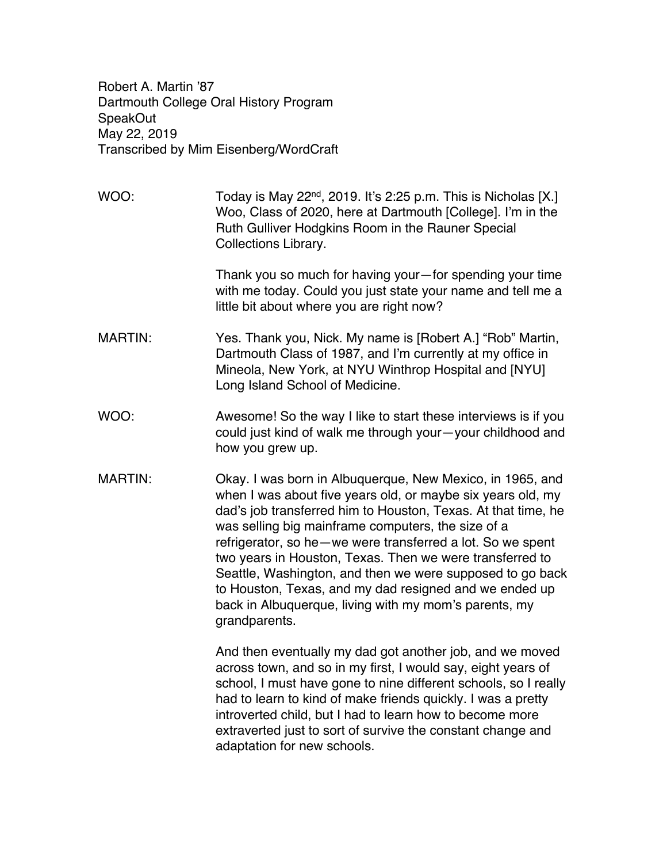Robert A. Martin '87 Dartmouth College Oral History Program SpeakOut May 22, 2019 Transcribed by Mim Eisenberg/WordCraft

WOO: Today is May 22<sup>nd</sup>, 2019. It's 2:25 p.m. This is Nicholas [X.] Woo, Class of 2020, here at Dartmouth [College]. I'm in the Ruth Gulliver Hodgkins Room in the Rauner Special Collections Library.

> Thank you so much for having your—for spending your time with me today. Could you just state your name and tell me a little bit about where you are right now?

- MARTIN: Yes. Thank you, Nick. My name is [Robert A.] "Rob" Martin, Dartmouth Class of 1987, and I'm currently at my office in Mineola, New York, at NYU Winthrop Hospital and [NYU] Long Island School of Medicine.
- WOO: Awesome! So the way I like to start these interviews is if you could just kind of walk me through your—your childhood and how you grew up.
- MARTIN: Okay. I was born in Albuquerque, New Mexico, in 1965, and when I was about five years old, or maybe six years old, my dad's job transferred him to Houston, Texas. At that time, he was selling big mainframe computers, the size of a refrigerator, so he—we were transferred a lot. So we spent two years in Houston, Texas. Then we were transferred to Seattle, Washington, and then we were supposed to go back to Houston, Texas, and my dad resigned and we ended up back in Albuquerque, living with my mom's parents, my grandparents.

And then eventually my dad got another job, and we moved across town, and so in my first, I would say, eight years of school, I must have gone to nine different schools, so I really had to learn to kind of make friends quickly. I was a pretty introverted child, but I had to learn how to become more extraverted just to sort of survive the constant change and adaptation for new schools.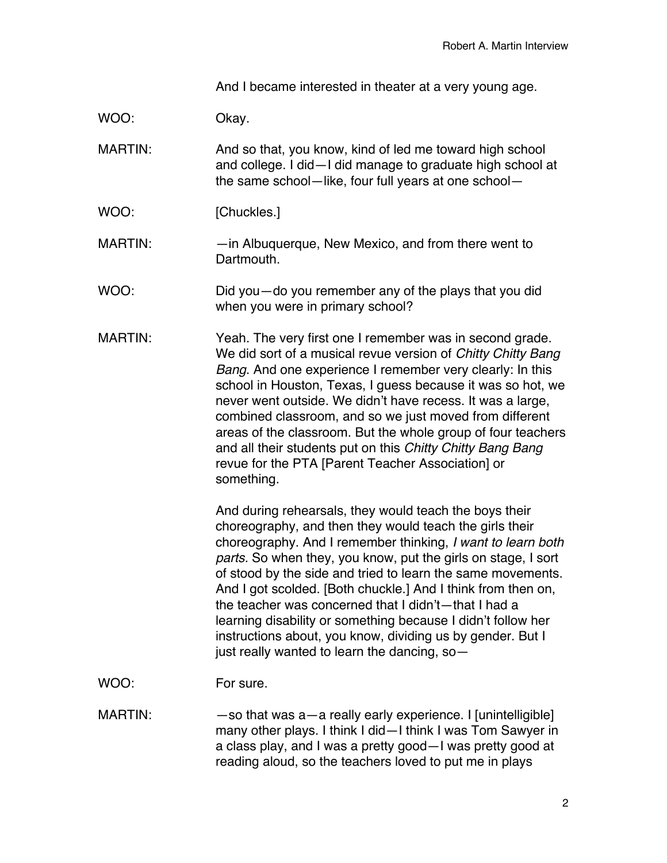And I became interested in theater at a very young age.

WOO: Okay.

MARTIN: And so that, you know, kind of led me toward high school and college. I did—I did manage to graduate high school at the same school—like, four full years at one school—

- WOO: [Chuckles.]
- MARTIN: —in Albuquerque, New Mexico, and from there went to Dartmouth.
- WOO: Did you—do you remember any of the plays that you did when you were in primary school?
- MARTIN: Yeah. The very first one I remember was in second grade. We did sort of a musical revue version of *Chitty Chitty Bang Bang*. And one experience I remember very clearly: In this school in Houston, Texas, I guess because it was so hot, we never went outside. We didn't have recess. It was a large, combined classroom, and so we just moved from different areas of the classroom. But the whole group of four teachers and all their students put on this *Chitty Chitty Bang Bang* revue for the PTA [Parent Teacher Association] or something.

And during rehearsals, they would teach the boys their choreography, and then they would teach the girls their choreography. And I remember thinking, *I want to learn both parts.* So when they, you know, put the girls on stage, I sort of stood by the side and tried to learn the same movements. And I got scolded. [Both chuckle.] And I think from then on, the teacher was concerned that I didn't—that I had a learning disability or something because I didn't follow her instructions about, you know, dividing us by gender. But I just really wanted to learn the dancing, so—

- WOO: For sure.
- MARTIN:  $-$ so that was a $-$ a really early experience. I [unintelligible] many other plays. I think I did—I think I was Tom Sawyer in a class play, and I was a pretty good—I was pretty good at reading aloud, so the teachers loved to put me in plays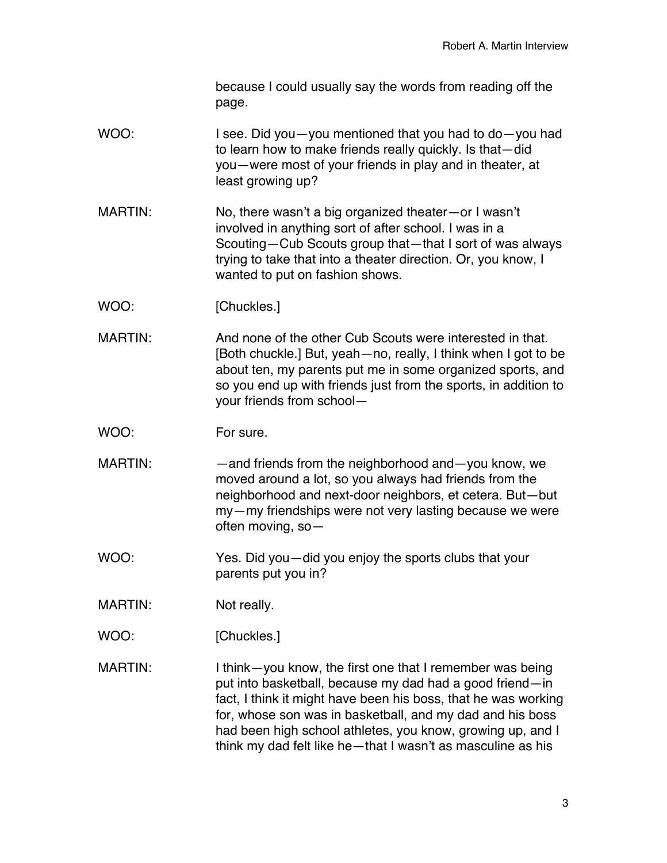because I could usually say the words from reading off the page.

- WOO: I see. Did you—you mentioned that you had to do—you had to learn how to make friends really quickly. Is that—did you—were most of your friends in play and in theater, at least growing up?
- MARTIN: No, there wasn't a big organized theater-or I wasn't involved in anything sort of after school. I was in a Scouting—Cub Scouts group that—that I sort of was always trying to take that into a theater direction. Or, you know, I wanted to put on fashion shows.
- WOO: [Chuckles.]
- MARTIN: And none of the other Cub Scouts were interested in that. [Both chuckle.] But, yeah—no, really, I think when I got to be about ten, my parents put me in some organized sports, and so you end up with friends just from the sports, in addition to your friends from school—
- WOO: For sure.
- MARTIN: — and friends from the neighborhood and you know, we moved around a lot, so you always had friends from the neighborhood and next-door neighbors, et cetera. But—but my—my friendships were not very lasting because we were often moving, so—
- WOO: Yes. Did you—did you enjoy the sports clubs that your parents put you in?
- MARTIN: Not really.
- WOO: [Chuckles.]
- MARTIN: I think—you know, the first one that I remember was being put into basketball, because my dad had a good friend—in fact, I think it might have been his boss, that he was working for, whose son was in basketball, and my dad and his boss had been high school athletes, you know, growing up, and I think my dad felt like he—that I wasn't as masculine as his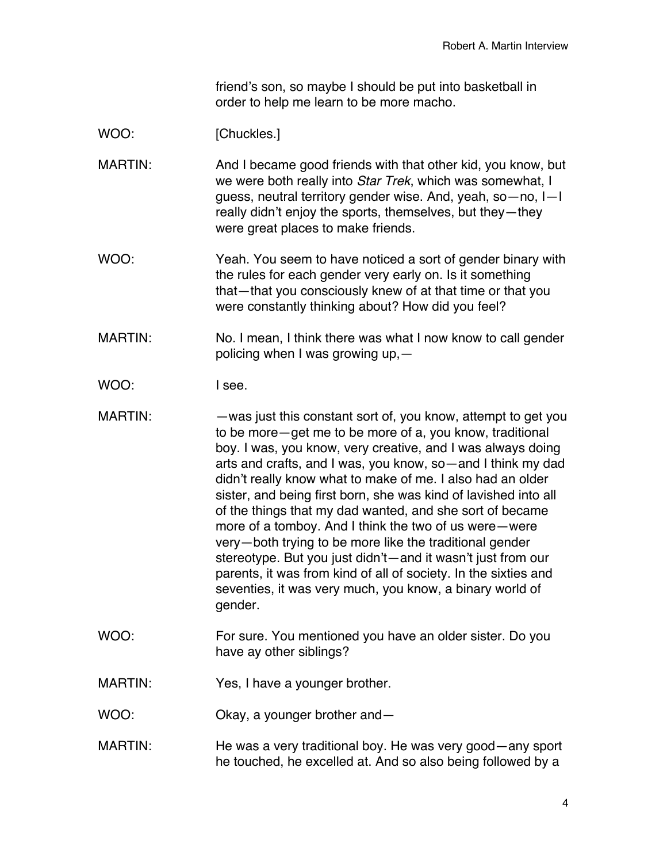friend's son, so maybe I should be put into basketball in order to help me learn to be more macho.

WOO: [Chuckles.]

- MARTIN: And I became good friends with that other kid, you know, but we were both really into *Star Trek*, which was somewhat, I guess, neutral territory gender wise. And, yeah, so—no, I—I really didn't enjoy the sports, themselves, but they—they were great places to make friends.
- WOO: Yeah. You seem to have noticed a sort of gender binary with the rules for each gender very early on. Is it something that—that you consciously knew of at that time or that you were constantly thinking about? How did you feel?
- MARTIN: No. I mean, I think there was what I now know to call gender policing when I was growing up,—
- WOO: I see.
- MARTIN: —was just this constant sort of, you know, attempt to get you to be more—get me to be more of a, you know, traditional boy. I was, you know, very creative, and I was always doing arts and crafts, and I was, you know, so—and I think my dad didn't really know what to make of me. I also had an older sister, and being first born, she was kind of lavished into all of the things that my dad wanted, and she sort of became more of a tomboy. And I think the two of us were—were very—both trying to be more like the traditional gender stereotype. But you just didn't—and it wasn't just from our parents, it was from kind of all of society. In the sixties and seventies, it was very much, you know, a binary world of gender.
- WOO: For sure. You mentioned you have an older sister. Do you have ay other siblings?
- MARTIN: Yes, I have a younger brother.
- WOO: Okay, a younger brother and -
- MARTIN: He was a very traditional boy. He was very good—any sport he touched, he excelled at. And so also being followed by a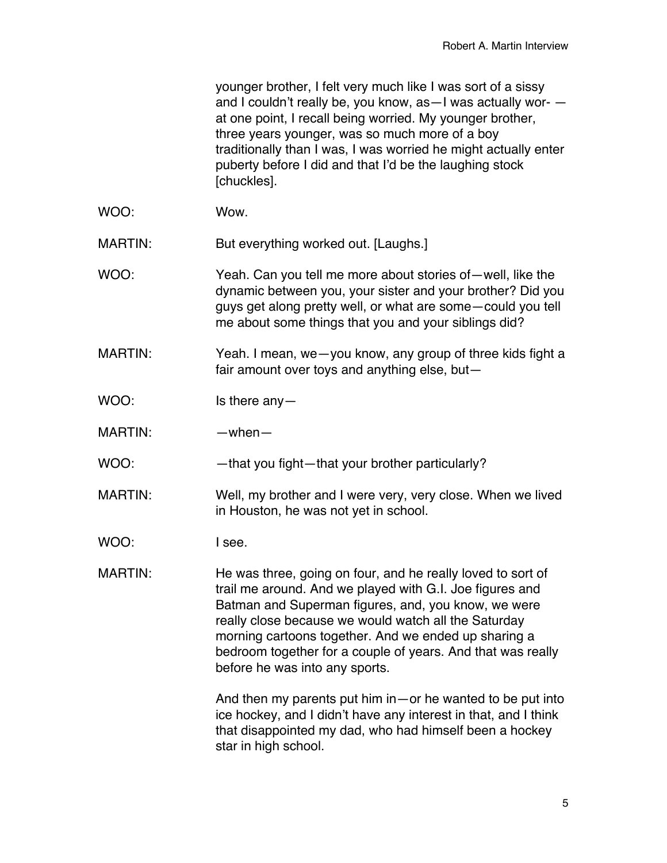| younger brother, I felt very much like I was sort of a sissy    |
|-----------------------------------------------------------------|
| and I couldn't really be, you know, as - I was actually wor-    |
| at one point, I recall being worried. My younger brother,       |
| three years younger, was so much more of a boy                  |
| traditionally than I was, I was worried he might actually enter |
| puberty before I did and that I'd be the laughing stock         |
| [chuckles].                                                     |
|                                                                 |

WOO: Wow.

MARTIN: But everything worked out. [Laughs.]

- WOO: Yeah. Can you tell me more about stories of—well, like the dynamic between you, your sister and your brother? Did you guys get along pretty well, or what are some—could you tell me about some things that you and your siblings did?
- MARTIN: Yeah. I mean, we you know, any group of three kids fight a fair amount over toys and anything else, but—
- WOO: Is there any
- MARTIN: —when—

WOO: — that you fight—that your brother particularly?

- MARTIN: Well, my brother and I were very, very close. When we lived in Houston, he was not yet in school.
- WOO: I see.
- MARTIN: He was three, going on four, and he really loved to sort of trail me around. And we played with G.I. Joe figures and Batman and Superman figures, and, you know, we were really close because we would watch all the Saturday morning cartoons together. And we ended up sharing a bedroom together for a couple of years. And that was really before he was into any sports.

And then my parents put him in—or he wanted to be put into ice hockey, and I didn't have any interest in that, and I think that disappointed my dad, who had himself been a hockey star in high school.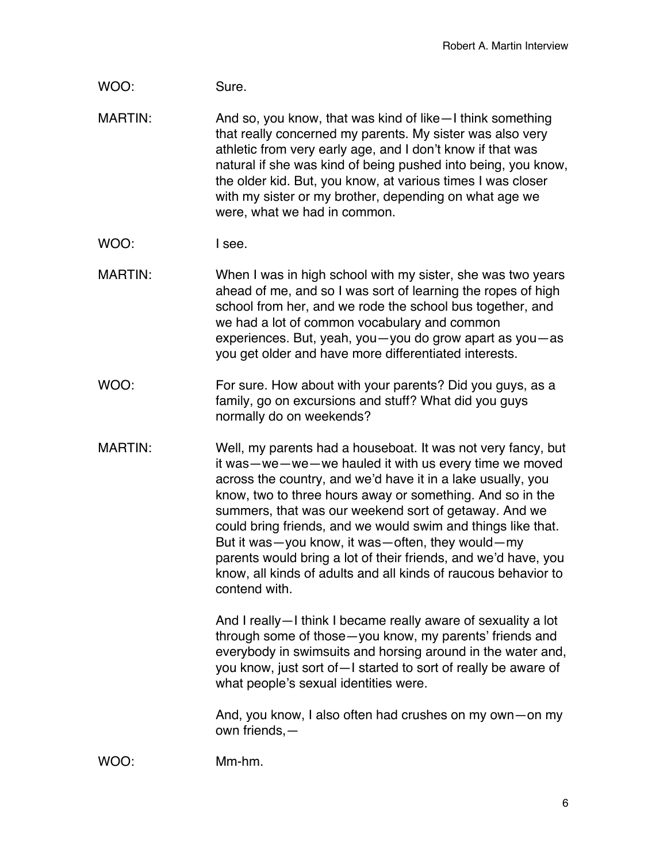## WOO: Sure.

MARTIN: And so, you know, that was kind of like—I think something that really concerned my parents. My sister was also very athletic from very early age, and I don't know if that was natural if she was kind of being pushed into being, you know, the older kid. But, you know, at various times I was closer with my sister or my brother, depending on what age we were, what we had in common.

- WOO: I see.
- MARTIN: When I was in high school with my sister, she was two years ahead of me, and so I was sort of learning the ropes of high school from her, and we rode the school bus together, and we had a lot of common vocabulary and common experiences. But, yeah, you—you do grow apart as you—as you get older and have more differentiated interests.
- WOO: For sure. How about with your parents? Did you guys, as a family, go on excursions and stuff? What did you guys normally do on weekends?
- MARTIN: Well, my parents had a houseboat. It was not very fancy, but it was—we—we—we hauled it with us every time we moved across the country, and we'd have it in a lake usually, you know, two to three hours away or something. And so in the summers, that was our weekend sort of getaway. And we could bring friends, and we would swim and things like that. But it was—you know, it was—often, they would—my parents would bring a lot of their friends, and we'd have, you know, all kinds of adults and all kinds of raucous behavior to contend with.

And I really—I think I became really aware of sexuality a lot through some of those—you know, my parents' friends and everybody in swimsuits and horsing around in the water and, you know, just sort of—I started to sort of really be aware of what people's sexual identities were.

And, you know, I also often had crushes on my own—on my own friends,—

| WOO: | Mm-hm. |
|------|--------|
|------|--------|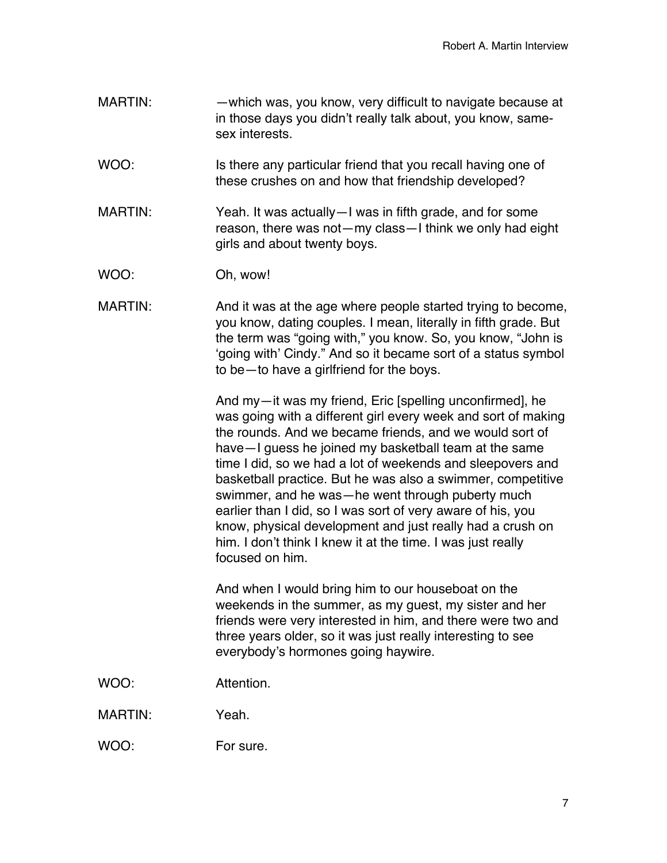- MARTIN: —which was, you know, very difficult to navigate because at in those days you didn't really talk about, you know, samesex interests.
- WOO: Is there any particular friend that you recall having one of these crushes on and how that friendship developed?
- MARTIN: Yeah. It was actually—I was in fifth grade, and for some reason, there was not—my class—I think we only had eight girls and about twenty boys.
- WOO: Oh, wow!
- MARTIN: And it was at the age where people started trying to become, you know, dating couples. I mean, literally in fifth grade. But the term was "going with," you know. So, you know, "John is 'going with' Cindy." And so it became sort of a status symbol to be—to have a girlfriend for the boys.

And my—it was my friend, Eric [spelling unconfirmed], he was going with a different girl every week and sort of making the rounds. And we became friends, and we would sort of have—I guess he joined my basketball team at the same time I did, so we had a lot of weekends and sleepovers and basketball practice. But he was also a swimmer, competitive swimmer, and he was—he went through puberty much earlier than I did, so I was sort of very aware of his, you know, physical development and just really had a crush on him. I don't think I knew it at the time. I was just really focused on him.

And when I would bring him to our houseboat on the weekends in the summer, as my guest, my sister and her friends were very interested in him, and there were two and three years older, so it was just really interesting to see everybody's hormones going haywire.

WOO: Attention.

MARTIN: Yeah.

WOO: For sure.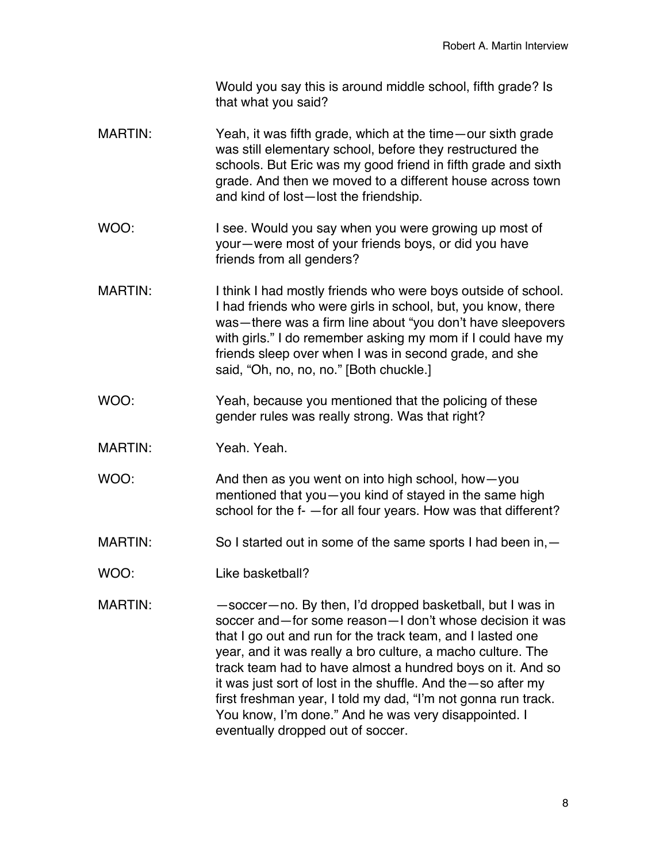Would you say this is around middle school, fifth grade? Is that what you said?

- MARTIN: Yeah, it was fifth grade, which at the time—our sixth grade was still elementary school, before they restructured the schools. But Eric was my good friend in fifth grade and sixth grade. And then we moved to a different house across town and kind of lost—lost the friendship.
- WOO: I see. Would you say when you were growing up most of your—were most of your friends boys, or did you have friends from all genders?
- MARTIN: I think I had mostly friends who were boys outside of school. I had friends who were girls in school, but, you know, there was—there was a firm line about "you don't have sleepovers with girls." I do remember asking my mom if I could have my friends sleep over when I was in second grade, and she said, "Oh, no, no, no." [Both chuckle.]
- WOO: Yeah, because you mentioned that the policing of these gender rules was really strong. Was that right?
- MARTIN: Yeah. Yeah.

WOO: And then as you went on into high school, how-you mentioned that you—you kind of stayed in the same high school for the f- - for all four years. How was that different?

- MARTIN: So I started out in some of the same sports I had been in,  $-$
- WOO: Like basketball?
- MARTIN: —soccer—no. By then, I'd dropped basketball, but I was in soccer and—for some reason—I don't whose decision it was that I go out and run for the track team, and I lasted one year, and it was really a bro culture, a macho culture. The track team had to have almost a hundred boys on it. And so it was just sort of lost in the shuffle. And the—so after my first freshman year, I told my dad, "I'm not gonna run track. You know, I'm done." And he was very disappointed. I eventually dropped out of soccer.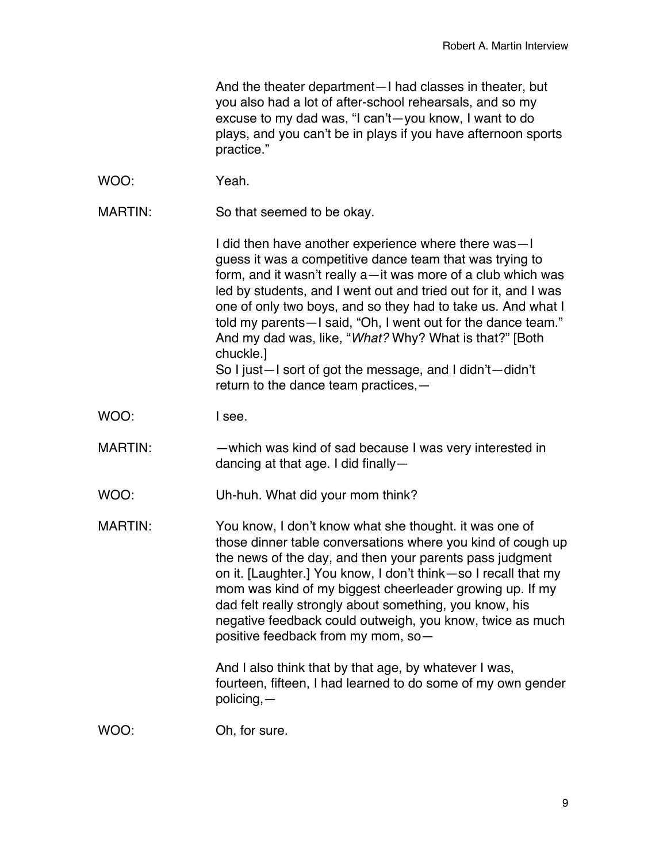|                | And the theater department—I had classes in theater, but<br>you also had a lot of after-school rehearsals, and so my<br>excuse to my dad was, "I can't-you know, I want to do<br>plays, and you can't be in plays if you have afternoon sports<br>practice."                                                                                                                                                                                                                                                           |
|----------------|------------------------------------------------------------------------------------------------------------------------------------------------------------------------------------------------------------------------------------------------------------------------------------------------------------------------------------------------------------------------------------------------------------------------------------------------------------------------------------------------------------------------|
| WOO:           | Yeah.                                                                                                                                                                                                                                                                                                                                                                                                                                                                                                                  |
| <b>MARTIN:</b> | So that seemed to be okay.                                                                                                                                                                                                                                                                                                                                                                                                                                                                                             |
|                | I did then have another experience where there was-I<br>guess it was a competitive dance team that was trying to<br>form, and it wasn't really a-it was more of a club which was<br>led by students, and I went out and tried out for it, and I was<br>one of only two boys, and so they had to take us. And what I<br>told my parents-I said, "Oh, I went out for the dance team."<br>And my dad was, like, "What? Why? What is that?" [Both<br>chuckle.]<br>So I just-I sort of got the message, and I didn't-didn't |
|                | return to the dance team practices, -                                                                                                                                                                                                                                                                                                                                                                                                                                                                                  |
| WOO:           | I see.                                                                                                                                                                                                                                                                                                                                                                                                                                                                                                                 |
| <b>MARTIN:</b> | -which was kind of sad because I was very interested in<br>dancing at that age. I did finally $-$                                                                                                                                                                                                                                                                                                                                                                                                                      |
| WOO:           | Uh-huh. What did your mom think?                                                                                                                                                                                                                                                                                                                                                                                                                                                                                       |
| <b>MARTIN:</b> | You know, I don't know what she thought. it was one of<br>those dinner table conversations where you kind of cough up<br>the news of the day, and then your parents pass judgment<br>on it. [Laughter.] You know, I don't think-so I recall that my<br>mom was kind of my biggest cheerleader growing up. If my<br>dad felt really strongly about something, you know, his<br>negative feedback could outweigh, you know, twice as much<br>positive feedback from my mom, so-                                          |
|                | And I also think that by that age, by whatever I was,<br>fourteen, fifteen, I had learned to do some of my own gender<br>$policing, -$                                                                                                                                                                                                                                                                                                                                                                                 |
| WOO:           | Oh, for sure.                                                                                                                                                                                                                                                                                                                                                                                                                                                                                                          |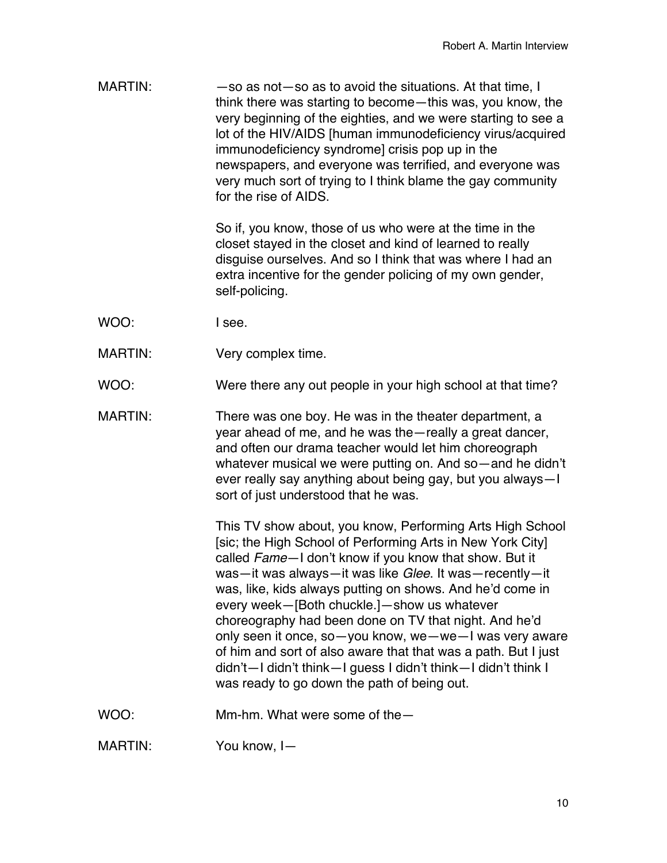MARTIN:  $-$ so as not $-$ so as to avoid the situations. At that time, I think there was starting to become—this was, you know, the very beginning of the eighties, and we were starting to see a lot of the HIV/AIDS [human immunodeficiency virus/acquired immunodeficiency syndrome] crisis pop up in the newspapers, and everyone was terrified, and everyone was very much sort of trying to I think blame the gay community for the rise of AIDS.

> So if, you know, those of us who were at the time in the closet stayed in the closet and kind of learned to really disguise ourselves. And so I think that was where I had an extra incentive for the gender policing of my own gender, self-policing.

- WOO: I see.
- MARTIN: Very complex time.
- WOO: Were there any out people in your high school at that time?
- MARTIN: There was one boy. He was in the theater department, a year ahead of me, and he was the—really a great dancer, and often our drama teacher would let him choreograph whatever musical we were putting on. And so—and he didn't ever really say anything about being gay, but you always—I sort of just understood that he was.

This TV show about, you know, Performing Arts High School [sic; the High School of Performing Arts in New York City] called *Fame*—I don't know if you know that show. But it was—it was always—it was like *Glee*. It was—recently—it was, like, kids always putting on shows. And he'd come in every week—[Both chuckle.]—show us whatever choreography had been done on TV that night. And he'd only seen it once, so—you know, we—we—I was very aware of him and sort of also aware that that was a path. But I just didn't—I didn't think—I guess I didn't think—I didn't think I was ready to go down the path of being out.

- WOO: Mm-hm. What were some of the -
- MARTIN: You know, I—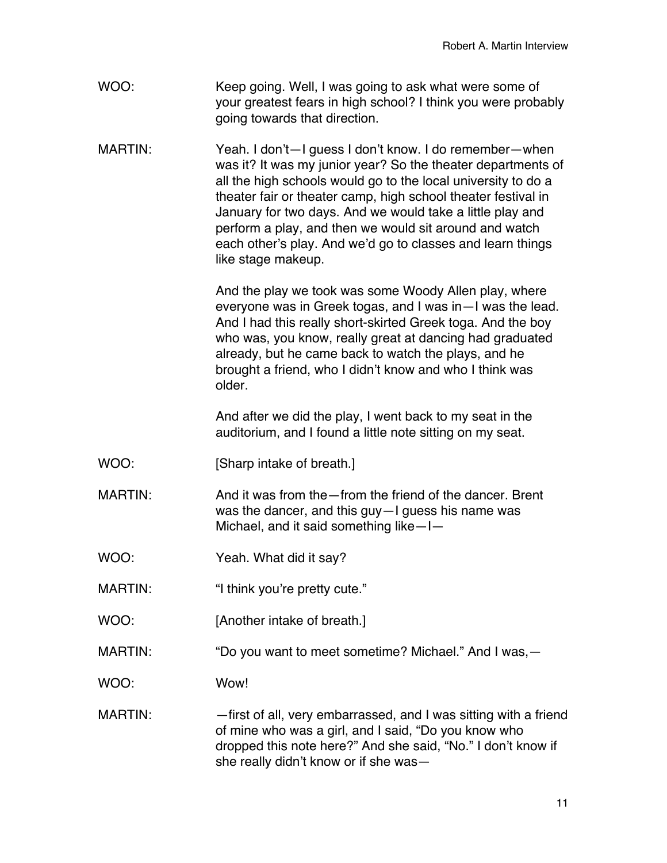- WOO: Keep going. Well, I was going to ask what were some of your greatest fears in high school? I think you were probably going towards that direction.
- MARTIN: Yeah. I don't—I guess I don't know. I do remember—when was it? It was my junior year? So the theater departments of all the high schools would go to the local university to do a theater fair or theater camp, high school theater festival in January for two days. And we would take a little play and perform a play, and then we would sit around and watch each other's play. And we'd go to classes and learn things like stage makeup.

And the play we took was some Woody Allen play, where everyone was in Greek togas, and I was in—I was the lead. And I had this really short-skirted Greek toga. And the boy who was, you know, really great at dancing had graduated already, but he came back to watch the plays, and he brought a friend, who I didn't know and who I think was older.

And after we did the play, I went back to my seat in the auditorium, and I found a little note sitting on my seat.

- WOO: [Sharp intake of breath.]
- MARTIN: And it was from the—from the friend of the dancer. Brent was the dancer, and this guy—I guess his name was Michael, and it said something like—I—
- WOO: Yeah. What did it say?
- MARTIN: "I think you're pretty cute."
- WOO: [Another intake of breath.]
- MARTIN: "Do you want to meet sometime? Michael." And I was, -
- WOO: Wow!
- MARTIN: — first of all, very embarrassed, and I was sitting with a friend of mine who was a girl, and I said, "Do you know who dropped this note here?" And she said, "No." I don't know if she really didn't know or if she was—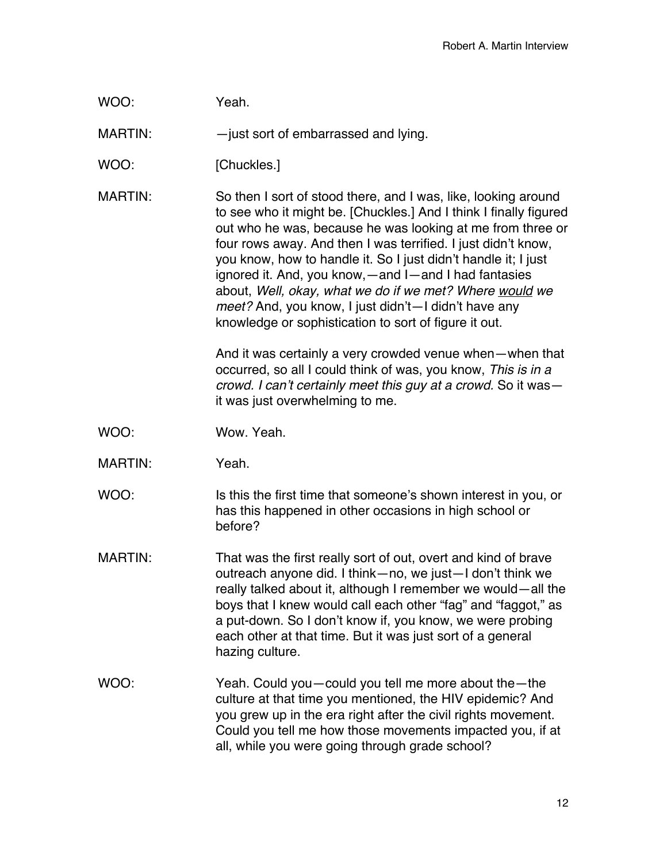| WOO: | Yeah. |
|------|-------|
|------|-------|

MARTIN: — — just sort of embarrassed and lying.

WOO: [Chuckles.]

MARTIN: So then I sort of stood there, and I was, like, looking around to see who it might be. [Chuckles.] And I think I finally figured out who he was, because he was looking at me from three or four rows away. And then I was terrified. I just didn't know, you know, how to handle it. So I just didn't handle it; I just ignored it. And, you know,—and I—and I had fantasies about, *Well, okay, what we do if we met? Where would we meet?* And, you know, I just didn't—I didn't have any knowledge or sophistication to sort of figure it out.

> And it was certainly a very crowded venue when—when that occurred, so all I could think of was, you know, *This is in a crowd. I can't certainly meet this guy at a crowd.* So it was it was just overwhelming to me.

- WOO: Wow. Yeah.
- MARTIN: Yeah.

WOO: Is this the first time that someone's shown interest in you, or has this happened in other occasions in high school or before?

- MARTIN: That was the first really sort of out, overt and kind of brave outreach anyone did. I think—no, we just—I don't think we really talked about it, although I remember we would—all the boys that I knew would call each other "fag" and "faggot," as a put-down. So I don't know if, you know, we were probing each other at that time. But it was just sort of a general hazing culture.
- WOO: Yeah. Could you—could you tell me more about the—the culture at that time you mentioned, the HIV epidemic? And you grew up in the era right after the civil rights movement. Could you tell me how those movements impacted you, if at all, while you were going through grade school?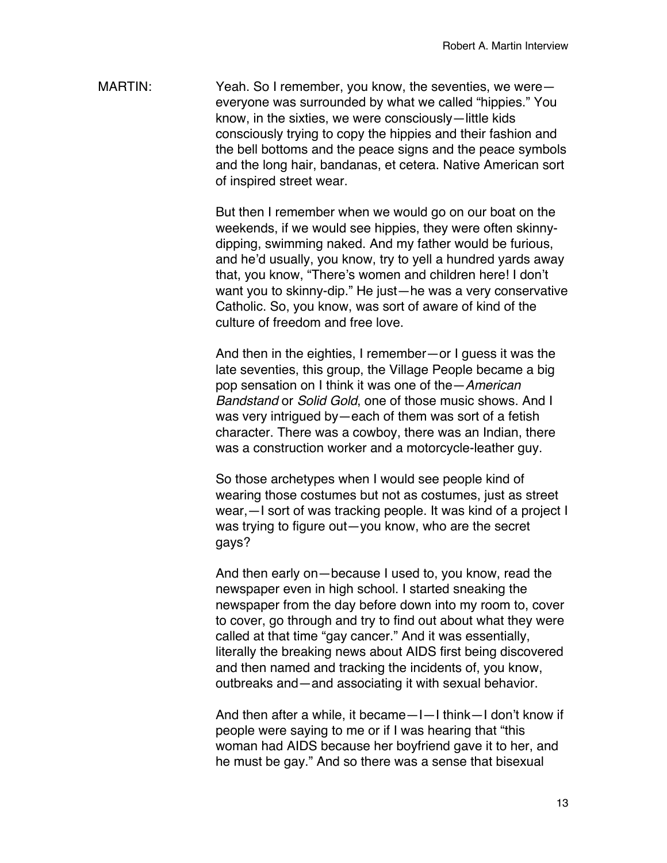MARTIN: Yeah. So I remember, you know, the seventies, we wereeveryone was surrounded by what we called "hippies." You know, in the sixties, we were consciously—little kids consciously trying to copy the hippies and their fashion and the bell bottoms and the peace signs and the peace symbols and the long hair, bandanas, et cetera. Native American sort of inspired street wear.

> But then I remember when we would go on our boat on the weekends, if we would see hippies, they were often skinnydipping, swimming naked. And my father would be furious, and he'd usually, you know, try to yell a hundred yards away that, you know, "There's women and children here! I don't want you to skinny-dip." He just—he was a very conservative Catholic. So, you know, was sort of aware of kind of the culture of freedom and free love.

And then in the eighties, I remember—or I guess it was the late seventies, this group, the Village People became a big pop sensation on I think it was one of the—*American Bandstand* or *Solid Gold*, one of those music shows. And I was very intrigued by—each of them was sort of a fetish character. There was a cowboy, there was an Indian, there was a construction worker and a motorcycle-leather guy.

So those archetypes when I would see people kind of wearing those costumes but not as costumes, just as street wear,—I sort of was tracking people. It was kind of a project I was trying to figure out—you know, who are the secret gays?

And then early on—because I used to, you know, read the newspaper even in high school. I started sneaking the newspaper from the day before down into my room to, cover to cover, go through and try to find out about what they were called at that time "gay cancer." And it was essentially, literally the breaking news about AIDS first being discovered and then named and tracking the incidents of, you know, outbreaks and—and associating it with sexual behavior.

And then after a while, it became—I—I think—I don't know if people were saying to me or if I was hearing that "this woman had AIDS because her boyfriend gave it to her, and he must be gay." And so there was a sense that bisexual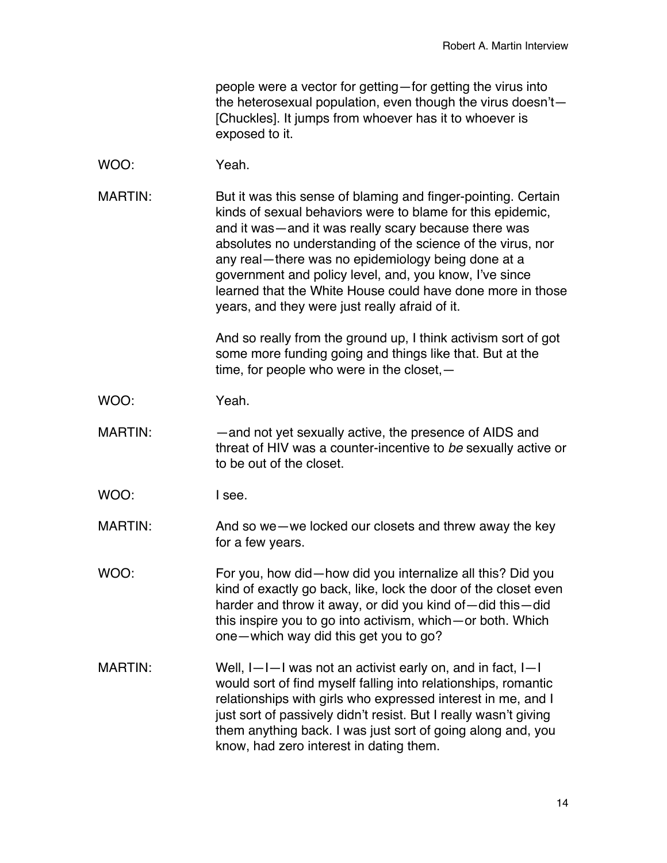people were a vector for getting—for getting the virus into the heterosexual population, even though the virus doesn't— [Chuckles]. It jumps from whoever has it to whoever is exposed to it.

- WOO: Yeah.
- MARTIN: But it was this sense of blaming and finger-pointing. Certain kinds of sexual behaviors were to blame for this epidemic, and it was—and it was really scary because there was absolutes no understanding of the science of the virus, nor any real—there was no epidemiology being done at a government and policy level, and, you know, I've since learned that the White House could have done more in those years, and they were just really afraid of it.

And so really from the ground up, I think activism sort of got some more funding going and things like that. But at the time, for people who were in the closet,—

WOO: Yeah.

- MARTIN: — and not yet sexually active, the presence of AIDS and threat of HIV was a counter-incentive to *be* sexually active or to be out of the closet.
- WOO: I see.

MARTIN: And so we—we locked our closets and threw away the key for a few years.

- WOO: For you, how did—how did you internalize all this? Did you kind of exactly go back, like, lock the door of the closet even harder and throw it away, or did you kind of—did this—did this inspire you to go into activism, which—or both. Which one—which way did this get you to go?
- MARTIN: Well, I—I—I was not an activist early on, and in fact, I—I would sort of find myself falling into relationships, romantic relationships with girls who expressed interest in me, and I just sort of passively didn't resist. But I really wasn't giving them anything back. I was just sort of going along and, you know, had zero interest in dating them.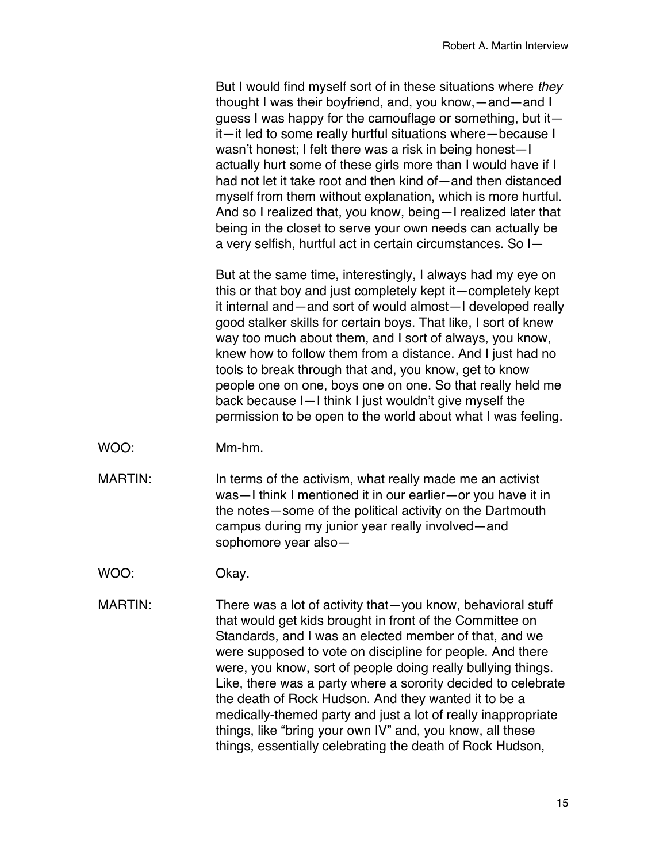But I would find myself sort of in these situations where *they* thought I was their boyfriend, and, you know,—and—and I guess I was happy for the camouflage or something, but it it—it led to some really hurtful situations where—because I wasn't honest; I felt there was a risk in being honest—I actually hurt some of these girls more than I would have if I had not let it take root and then kind of—and then distanced myself from them without explanation, which is more hurtful. And so I realized that, you know, being—I realized later that being in the closet to serve your own needs can actually be a very selfish, hurtful act in certain circumstances. So I—

But at the same time, interestingly, I always had my eye on this or that boy and just completely kept it—completely kept it internal and—and sort of would almost—I developed really good stalker skills for certain boys. That like, I sort of knew way too much about them, and I sort of always, you know, knew how to follow them from a distance. And I just had no tools to break through that and, you know, get to know people one on one, boys one on one. So that really held me back because I—I think I just wouldn't give myself the permission to be open to the world about what I was feeling.

- WOO: Mm-hm.
- MARTIN: In terms of the activism, what really made me an activist was—I think I mentioned it in our earlier—or you have it in the notes—some of the political activity on the Dartmouth campus during my junior year really involved—and sophomore year also—

WOO: Okay.

MARTIN: There was a lot of activity that-you know, behavioral stuff that would get kids brought in front of the Committee on Standards, and I was an elected member of that, and we were supposed to vote on discipline for people. And there were, you know, sort of people doing really bullying things. Like, there was a party where a sorority decided to celebrate the death of Rock Hudson. And they wanted it to be a medically-themed party and just a lot of really inappropriate things, like "bring your own IV" and, you know, all these things, essentially celebrating the death of Rock Hudson,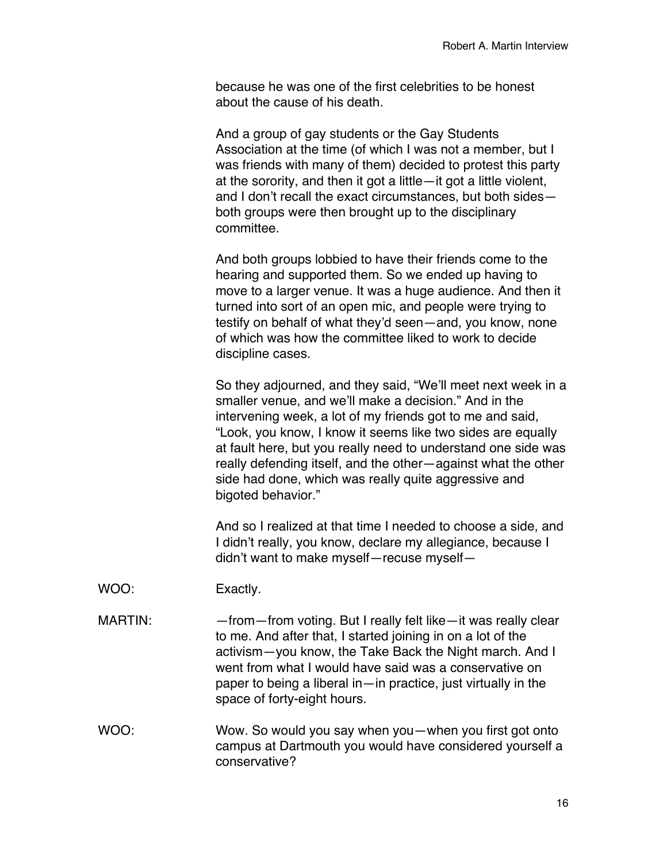because he was one of the first celebrities to be honest about the cause of his death.

And a group of gay students or the Gay Students Association at the time (of which I was not a member, but I was friends with many of them) decided to protest this party at the sorority, and then it got a little—it got a little violent, and I don't recall the exact circumstances, but both sides both groups were then brought up to the disciplinary committee.

And both groups lobbied to have their friends come to the hearing and supported them. So we ended up having to move to a larger venue. It was a huge audience. And then it turned into sort of an open mic, and people were trying to testify on behalf of what they'd seen—and, you know, none of which was how the committee liked to work to decide discipline cases.

So they adjourned, and they said, "We'll meet next week in a smaller venue, and we'll make a decision." And in the intervening week, a lot of my friends got to me and said, "Look, you know, I know it seems like two sides are equally at fault here, but you really need to understand one side was really defending itself, and the other—against what the other side had done, which was really quite aggressive and bigoted behavior."

And so I realized at that time I needed to choose a side, and I didn't really, you know, declare my allegiance, because I didn't want to make myself—recuse myself—

- WOO: Exactly.
- MARTIN: —from—from voting. But I really felt like—it was really clear to me. And after that, I started joining in on a lot of the activism—you know, the Take Back the Night march. And I went from what I would have said was a conservative on paper to being a liberal in—in practice, just virtually in the space of forty-eight hours.
- WOO: Wow. So would you say when you—when you first got onto campus at Dartmouth you would have considered yourself a conservative?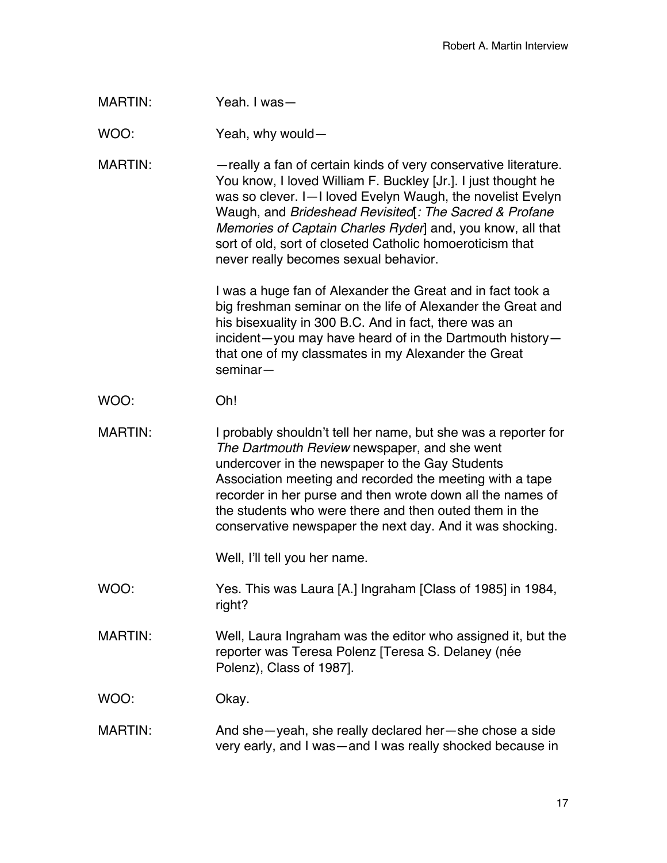| <b>MARTIN:</b> |  | Yeah. I was- |
|----------------|--|--------------|
|----------------|--|--------------|

WOO: Yeah, why would-

MARTIN: —really a fan of certain kinds of very conservative literature. You know, I loved William F. Buckley [Jr.]. I just thought he was so clever. I—I loved Evelyn Waugh, the novelist Evelyn Waugh, and *Brideshead Revisited*[*: The Sacred & Profane Memories of Captain Charles Ryder*] and, you know, all that sort of old, sort of closeted Catholic homoeroticism that never really becomes sexual behavior.

> I was a huge fan of Alexander the Great and in fact took a big freshman seminar on the life of Alexander the Great and his bisexuality in 300 B.C. And in fact, there was an incident—you may have heard of in the Dartmouth history that one of my classmates in my Alexander the Great seminar—

WOO: Oh!

MARTIN: I probably shouldn't tell her name, but she was a reporter for *The Dartmouth Review* newspaper, and she went undercover in the newspaper to the Gay Students Association meeting and recorded the meeting with a tape recorder in her purse and then wrote down all the names of the students who were there and then outed them in the conservative newspaper the next day. And it was shocking.

Well, I'll tell you her name.

- WOO: Yes. This was Laura [A.] Ingraham [Class of 1985] in 1984, right?
- MARTIN: Well, Laura Ingraham was the editor who assigned it, but the reporter was Teresa Polenz [Teresa S. Delaney (née Polenz), Class of 1987].

WOO: Okay.

MARTIN: And she—yeah, she really declared her—she chose a side very early, and I was—and I was really shocked because in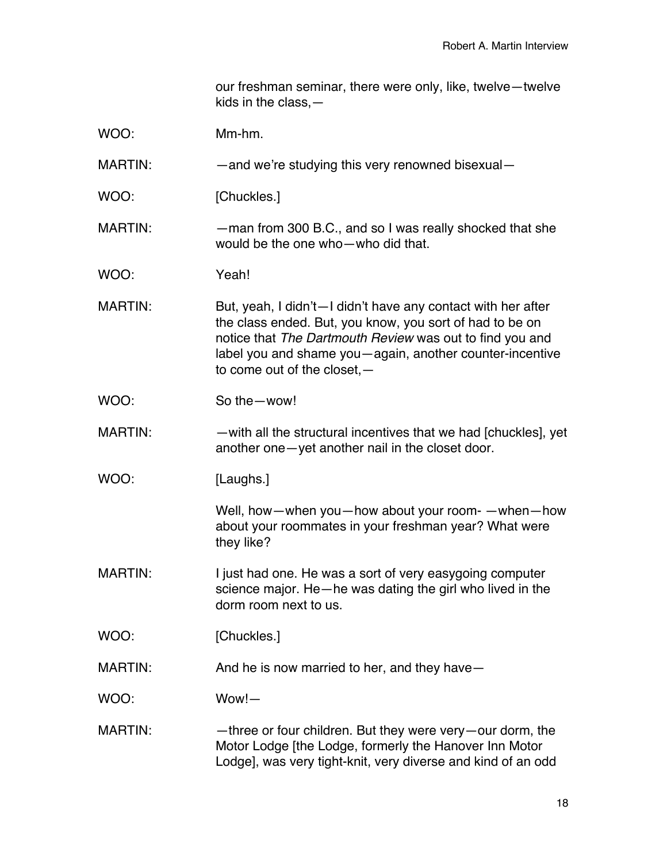| our freshman seminar, there were only, like, twelve—twelve |  |  |
|------------------------------------------------------------|--|--|
| kids in the class, $-$                                     |  |  |

| WOO:           | Mm-hm.                                                                                                                                                                                                                                                                             |
|----------------|------------------------------------------------------------------------------------------------------------------------------------------------------------------------------------------------------------------------------------------------------------------------------------|
| <b>MARTIN:</b> | -and we're studying this very renowned bisexual-                                                                                                                                                                                                                                   |
| WOO:           | [Chuckles.]                                                                                                                                                                                                                                                                        |
| <b>MARTIN:</b> | -man from 300 B.C., and so I was really shocked that she<br>would be the one who - who did that.                                                                                                                                                                                   |
| WOO:           | Yeah!                                                                                                                                                                                                                                                                              |
| <b>MARTIN:</b> | But, yeah, I didn't—I didn't have any contact with her after<br>the class ended. But, you know, you sort of had to be on<br>notice that The Dartmouth Review was out to find you and<br>label you and shame you - again, another counter-incentive<br>to come out of the closet, - |
| WOO:           | So the - wow!                                                                                                                                                                                                                                                                      |
| <b>MARTIN:</b> | -with all the structural incentives that we had [chuckles], yet<br>another one-yet another nail in the closet door.                                                                                                                                                                |
| WOO:           | [Laughs.]                                                                                                                                                                                                                                                                          |
|                | Well, how—when you—how about your room- —when—how<br>about your roommates in your freshman year? What were<br>they like?                                                                                                                                                           |
| <b>MARTIN:</b> | I just had one. He was a sort of very easygoing computer<br>science major. He-he was dating the girl who lived in the<br>dorm room next to us.                                                                                                                                     |
| WOO:           | [Chuckles.]                                                                                                                                                                                                                                                                        |
| <b>MARTIN:</b> | And he is now married to her, and they have—                                                                                                                                                                                                                                       |
| WOO:           | Wow!-                                                                                                                                                                                                                                                                              |
| <b>MARTIN:</b> | -three or four children. But they were very-our dorm, the<br>Motor Lodge [the Lodge, formerly the Hanover Inn Motor<br>Lodge], was very tight-knit, very diverse and kind of an odd                                                                                                |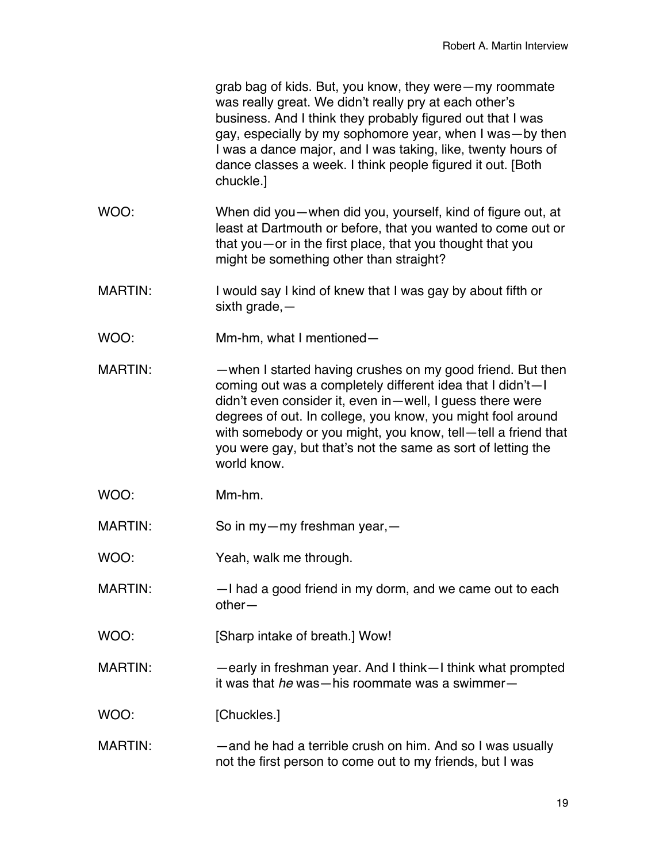|                | grab bag of kids. But, you know, they were—my roommate<br>was really great. We didn't really pry at each other's<br>business. And I think they probably figured out that I was<br>gay, especially by my sophomore year, when I was-by then<br>I was a dance major, and I was taking, like, twenty hours of<br>dance classes a week. I think people figured it out. [Both]<br>chuckle.]               |
|----------------|------------------------------------------------------------------------------------------------------------------------------------------------------------------------------------------------------------------------------------------------------------------------------------------------------------------------------------------------------------------------------------------------------|
| WOO:           | When did you—when did you, yourself, kind of figure out, at<br>least at Dartmouth or before, that you wanted to come out or<br>that you — or in the first place, that you thought that you<br>might be something other than straight?                                                                                                                                                                |
| <b>MARTIN:</b> | I would say I kind of knew that I was gay by about fifth or<br>sixth grade, $-$                                                                                                                                                                                                                                                                                                                      |
| WOO:           | Mm-hm, what I mentioned-                                                                                                                                                                                                                                                                                                                                                                             |
| <b>MARTIN:</b> | -when I started having crushes on my good friend. But then<br>coming out was a completely different idea that I didn't-I<br>didn't even consider it, even in-well, I guess there were<br>degrees of out. In college, you know, you might fool around<br>with somebody or you might, you know, tell-tell a friend that<br>you were gay, but that's not the same as sort of letting the<br>world know. |
| WOO:           | Mm-hm.                                                                                                                                                                                                                                                                                                                                                                                               |
| <b>MARTIN:</b> | So in my-my freshman year, $-$                                                                                                                                                                                                                                                                                                                                                                       |
| WOO:           | Yeah, walk me through.                                                                                                                                                                                                                                                                                                                                                                               |
| <b>MARTIN:</b> | -I had a good friend in my dorm, and we came out to each<br>$other-$                                                                                                                                                                                                                                                                                                                                 |
| WOO:           | [Sharp intake of breath.] Wow!                                                                                                                                                                                                                                                                                                                                                                       |
| <b>MARTIN:</b> | -early in freshman year. And I think-I think what prompted<br>it was that he was-his roommate was a swimmer-                                                                                                                                                                                                                                                                                         |
| WOO:           | [Chuckles.]                                                                                                                                                                                                                                                                                                                                                                                          |
| <b>MARTIN:</b> | -and he had a terrible crush on him. And so I was usually<br>not the first person to come out to my friends, but I was                                                                                                                                                                                                                                                                               |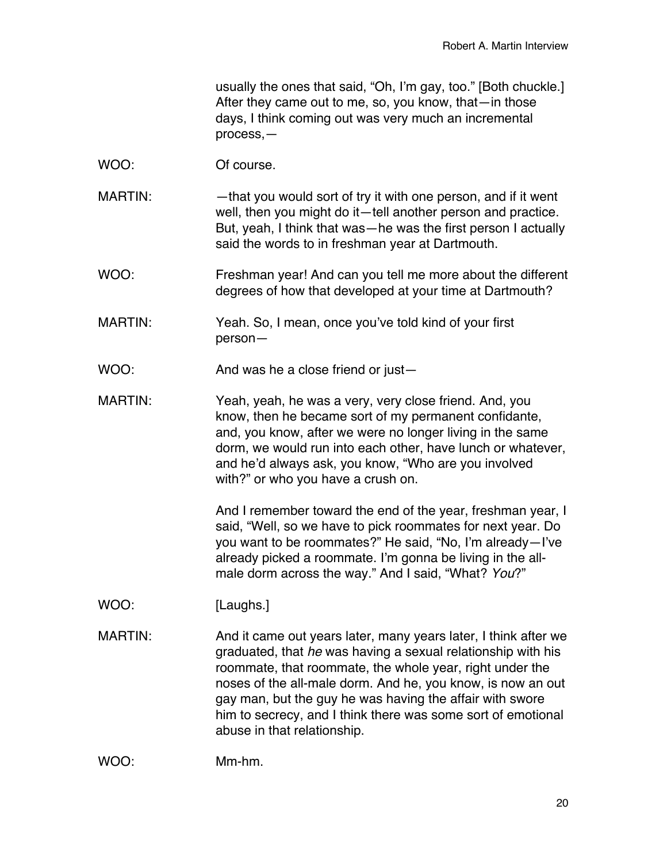usually the ones that said, "Oh, I'm gay, too." [Both chuckle.] After they came out to me, so, you know, that—in those days, I think coming out was very much an incremental process,—

- WOO: Of course.
- MARTIN: — that you would sort of try it with one person, and if it went well, then you might do it—tell another person and practice. But, yeah, I think that was—he was the first person I actually said the words to in freshman year at Dartmouth.
- WOO: Freshman year! And can you tell me more about the different degrees of how that developed at your time at Dartmouth?
- MARTIN: Yeah. So, I mean, once you've told kind of your first person—
- WOO: And was he a close friend or just—
- MARTIN: Yeah, yeah, he was a very, very close friend. And, you know, then he became sort of my permanent confidante, and, you know, after we were no longer living in the same dorm, we would run into each other, have lunch or whatever, and he'd always ask, you know, "Who are you involved with?" or who you have a crush on.

And I remember toward the end of the year, freshman year, I said, "Well, so we have to pick roommates for next year. Do you want to be roommates?" He said, "No, I'm already—I've already picked a roommate. I'm gonna be living in the allmale dorm across the way." And I said, "What? *You*?"

- WOO: [Laughs.]
- MARTIN: And it came out years later, many years later, I think after we graduated, that *he* was having a sexual relationship with his roommate, that roommate, the whole year, right under the noses of the all-male dorm. And he, you know, is now an out gay man, but the guy he was having the affair with swore him to secrecy, and I think there was some sort of emotional abuse in that relationship.

WOO: Mm-hm.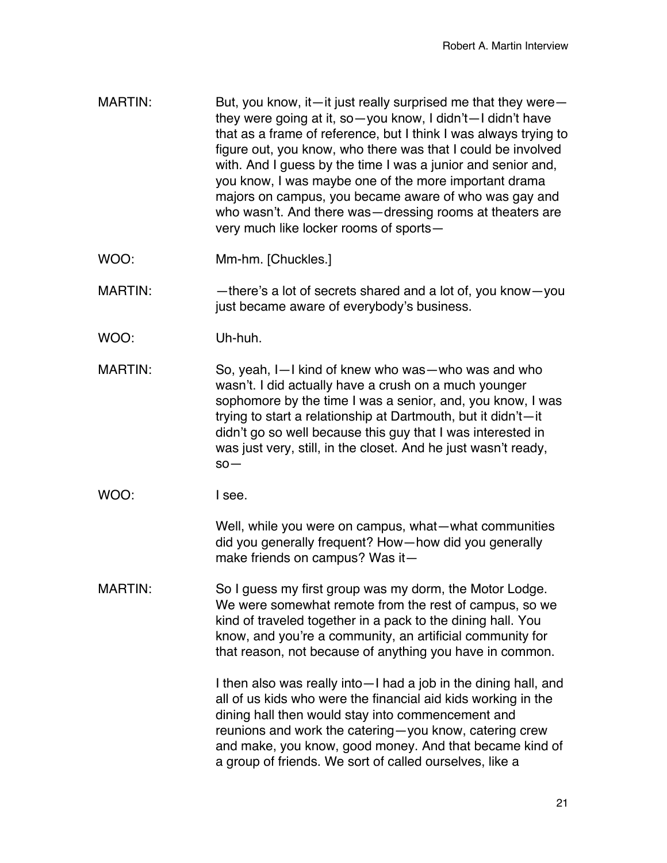- MARTIN: But, you know, it—it just really surprised me that they were they were going at it, so—you know, I didn't—I didn't have that as a frame of reference, but I think I was always trying to figure out, you know, who there was that I could be involved with. And I guess by the time I was a junior and senior and, you know, I was maybe one of the more important drama majors on campus, you became aware of who was gay and who wasn't. And there was—dressing rooms at theaters are very much like locker rooms of sports—
- WOO: Mm-hm. [Chuckles.]
- MARTIN: —there's a lot of secrets shared and a lot of, you know—you just became aware of everybody's business.
- WOO: Uh-huh.
- MARTIN: So, yeah, I—I kind of knew who was—who was and who wasn't. I did actually have a crush on a much younger sophomore by the time I was a senior, and, you know, I was trying to start a relationship at Dartmouth, but it didn't—it didn't go so well because this guy that I was interested in was just very, still, in the closet. And he just wasn't ready, so—
- WOO: I see.

Well, while you were on campus, what—what communities did you generally frequent? How—how did you generally make friends on campus? Was it—

MARTIN: So I guess my first group was my dorm, the Motor Lodge. We were somewhat remote from the rest of campus, so we kind of traveled together in a pack to the dining hall. You know, and you're a community, an artificial community for that reason, not because of anything you have in common.

> I then also was really into—I had a job in the dining hall, and all of us kids who were the financial aid kids working in the dining hall then would stay into commencement and reunions and work the catering—you know, catering crew and make, you know, good money. And that became kind of a group of friends. We sort of called ourselves, like a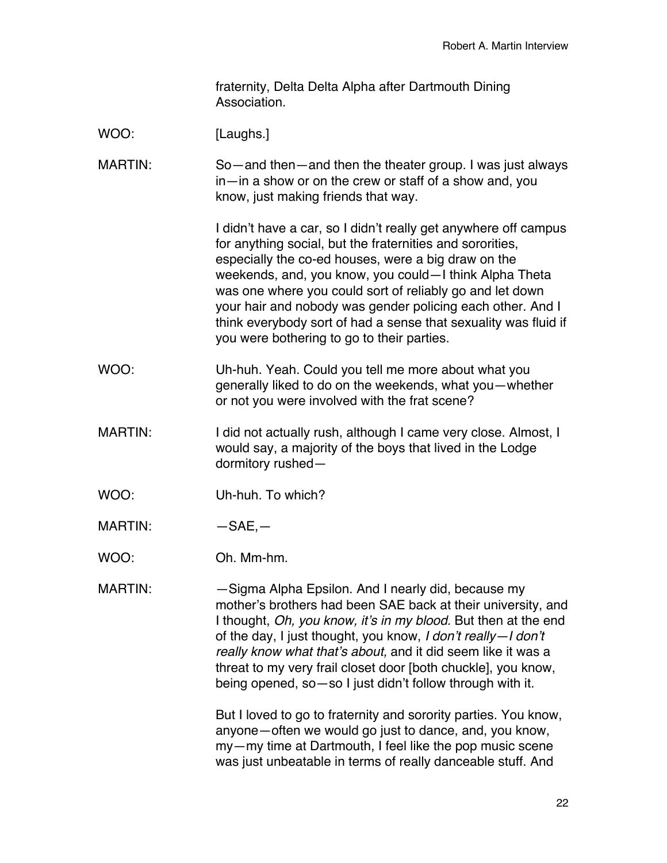fraternity, Delta Delta Alpha after Dartmouth Dining Association.

- WOO: [Laughs.]
- MARTIN: So—and then—and then the theater group. I was just always in—in a show or on the crew or staff of a show and, you know, just making friends that way.

I didn't have a car, so I didn't really get anywhere off campus for anything social, but the fraternities and sororities, especially the co-ed houses, were a big draw on the weekends, and, you know, you could—I think Alpha Theta was one where you could sort of reliably go and let down your hair and nobody was gender policing each other. And I think everybody sort of had a sense that sexuality was fluid if you were bothering to go to their parties.

- WOO: Uh-huh. Yeah. Could you tell me more about what you generally liked to do on the weekends, what you—whether or not you were involved with the frat scene?
- MARTIN: I did not actually rush, although I came very close. Almost, I would say, a majority of the boys that lived in the Lodge dormitory rushed—
- WOO: Uh-huh. To which?
- MARTIN: —SAE,—
- WOO: Oh. Mm-hm.

MARTIN: — Sigma Alpha Epsilon. And I nearly did, because my mother's brothers had been SAE back at their university, and I thought, *Oh, you know, it's in my blood.* But then at the end of the day, I just thought, you know, *I don't really—I don't really know what that's about,* and it did seem like it was a threat to my very frail closet door [both chuckle], you know, being opened, so—so I just didn't follow through with it.

> But I loved to go to fraternity and sorority parties. You know, anyone—often we would go just to dance, and, you know, my—my time at Dartmouth, I feel like the pop music scene was just unbeatable in terms of really danceable stuff. And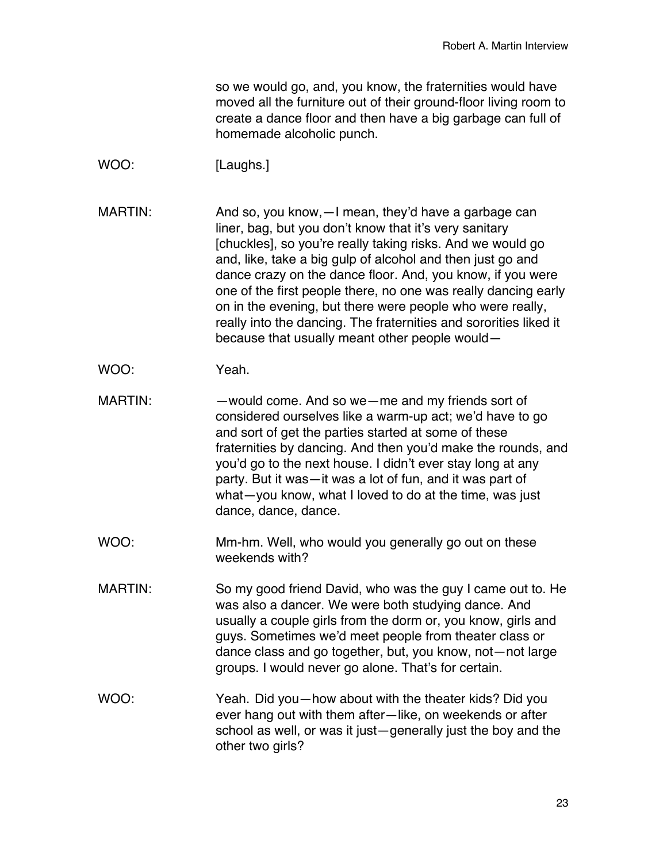so we would go, and, you know, the fraternities would have moved all the furniture out of their ground-floor living room to create a dance floor and then have a big garbage can full of homemade alcoholic punch.

- WOO: [Laughs.]
- MARTIN: And so, you know, I mean, they'd have a garbage can liner, bag, but you don't know that it's very sanitary [chuckles], so you're really taking risks. And we would go and, like, take a big gulp of alcohol and then just go and dance crazy on the dance floor. And, you know, if you were one of the first people there, no one was really dancing early on in the evening, but there were people who were really, really into the dancing. The fraternities and sororities liked it because that usually meant other people would—
- WOO: Yeah.
- MARTIN: —would come. And so we—me and my friends sort of considered ourselves like a warm-up act; we'd have to go and sort of get the parties started at some of these fraternities by dancing. And then you'd make the rounds, and you'd go to the next house. I didn't ever stay long at any party. But it was—it was a lot of fun, and it was part of what—you know, what I loved to do at the time, was just dance, dance, dance.
- WOO: Mm-hm. Well, who would you generally go out on these weekends with?
- MARTIN: So my good friend David, who was the guy I came out to. He was also a dancer. We were both studying dance. And usually a couple girls from the dorm or, you know, girls and guys. Sometimes we'd meet people from theater class or dance class and go together, but, you know, not—not large groups. I would never go alone. That's for certain.
- WOO: Yeah. Did you—how about with the theater kids? Did you ever hang out with them after—like, on weekends or after school as well, or was it just—generally just the boy and the other two girls?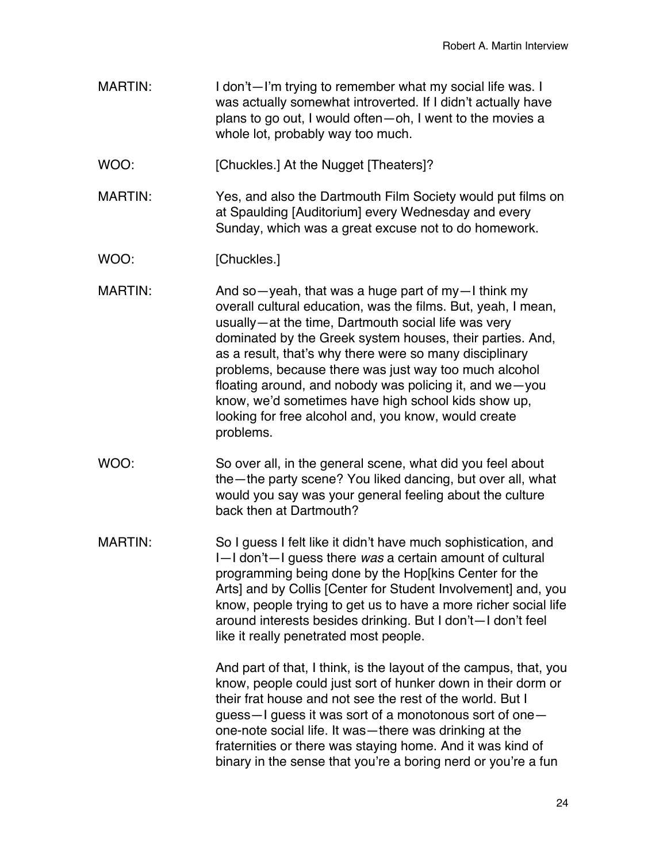MARTIN: I don't—I'm trying to remember what my social life was. I was actually somewhat introverted. If I didn't actually have plans to go out, I would often—oh, I went to the movies a whole lot, probably way too much.

WOO: [Chuckles.] At the Nugget [Theaters]?

MARTIN: Yes, and also the Dartmouth Film Society would put films on at Spaulding [Auditorium] every Wednesday and every Sunday, which was a great excuse not to do homework.

WOO: [Chuckles.]

- MARTIN: And so-yeah, that was a huge part of my-I think my overall cultural education, was the films. But, yeah, I mean, usually—at the time, Dartmouth social life was very dominated by the Greek system houses, their parties. And, as a result, that's why there were so many disciplinary problems, because there was just way too much alcohol floating around, and nobody was policing it, and we—you know, we'd sometimes have high school kids show up, looking for free alcohol and, you know, would create problems.
- WOO: So over all, in the general scene, what did you feel about the—the party scene? You liked dancing, but over all, what would you say was your general feeling about the culture back then at Dartmouth?
- MARTIN: So I guess I felt like it didn't have much sophistication, and I—I don't—I guess there *was* a certain amount of cultural programming being done by the Hop[kins Center for the Arts] and by Collis [Center for Student Involvement] and, you know, people trying to get us to have a more richer social life around interests besides drinking. But I don't—I don't feel like it really penetrated most people.

And part of that, I think, is the layout of the campus, that, you know, people could just sort of hunker down in their dorm or their frat house and not see the rest of the world. But I guess—I guess it was sort of a monotonous sort of one one-note social life. It was—there was drinking at the fraternities or there was staying home. And it was kind of binary in the sense that you're a boring nerd or you're a fun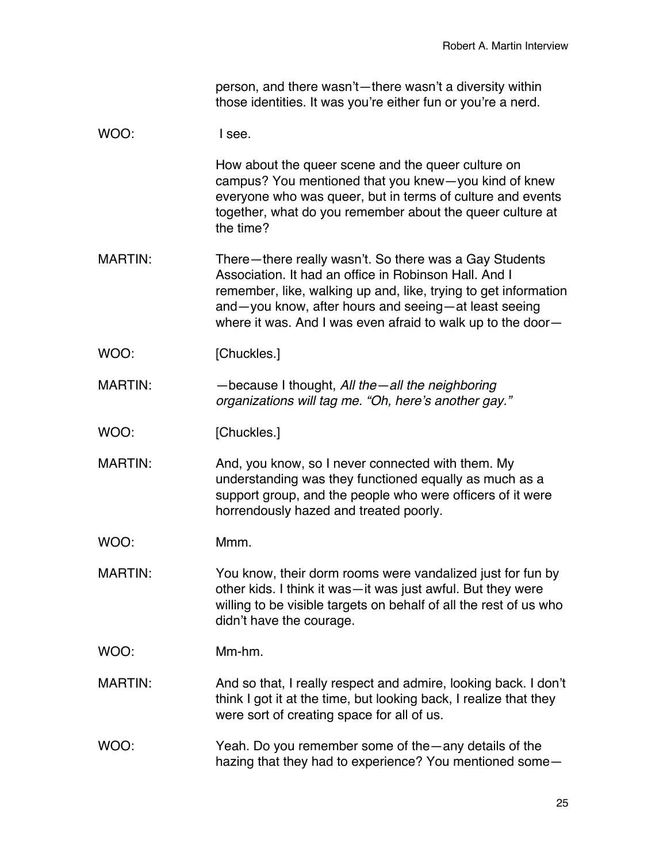|                | person, and there wasn't—there wasn't a diversity within<br>those identities. It was you're either fun or you're a nerd.                                                                                                                                                                                  |
|----------------|-----------------------------------------------------------------------------------------------------------------------------------------------------------------------------------------------------------------------------------------------------------------------------------------------------------|
| WOO:           | I see.                                                                                                                                                                                                                                                                                                    |
|                | How about the queer scene and the queer culture on<br>campus? You mentioned that you knew-you kind of knew<br>everyone who was queer, but in terms of culture and events<br>together, what do you remember about the queer culture at<br>the time?                                                        |
| <b>MARTIN:</b> | There—there really wasn't. So there was a Gay Students<br>Association. It had an office in Robinson Hall. And I<br>remember, like, walking up and, like, trying to get information<br>and-you know, after hours and seeing-at least seeing<br>where it was. And I was even afraid to walk up to the door- |
| WOO:           | [Chuckles.]                                                                                                                                                                                                                                                                                               |
| <b>MARTIN:</b> | -because I thought, All the-all the neighboring<br>organizations will tag me. "Oh, here's another gay."                                                                                                                                                                                                   |
| WOO:           | [Chuckles.]                                                                                                                                                                                                                                                                                               |
| <b>MARTIN:</b> | And, you know, so I never connected with them. My<br>understanding was they functioned equally as much as a<br>support group, and the people who were officers of it were<br>horrendously hazed and treated poorly.                                                                                       |
| WOO:           | Mmm.                                                                                                                                                                                                                                                                                                      |
| <b>MARTIN:</b> | You know, their dorm rooms were vandalized just for fun by<br>other kids. I think it was-it was just awful. But they were<br>willing to be visible targets on behalf of all the rest of us who<br>didn't have the courage.                                                                                |
| WOO:           | Mm-hm.                                                                                                                                                                                                                                                                                                    |
| <b>MARTIN:</b> | And so that, I really respect and admire, looking back. I don't<br>think I got it at the time, but looking back, I realize that they<br>were sort of creating space for all of us.                                                                                                                        |
| WOO:           | Yeah. Do you remember some of the — any details of the<br>hazing that they had to experience? You mentioned some -                                                                                                                                                                                        |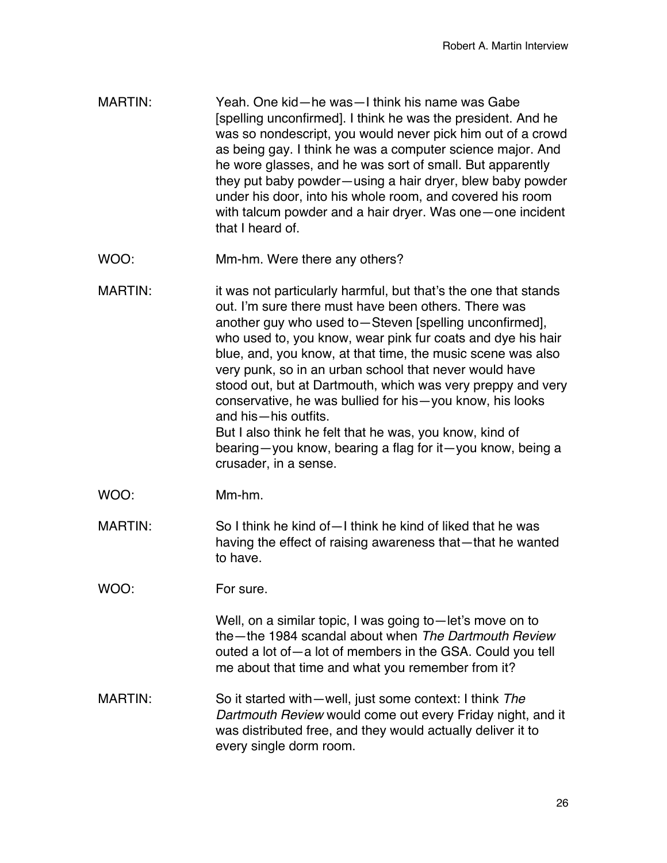- MARTIN: Yeah. One kid—he was—I think his name was Gabe [spelling unconfirmed]. I think he was the president. And he was so nondescript, you would never pick him out of a crowd as being gay. I think he was a computer science major. And he wore glasses, and he was sort of small. But apparently they put baby powder—using a hair dryer, blew baby powder under his door, into his whole room, and covered his room with talcum powder and a hair dryer. Was one—one incident that I heard of.
- WOO: Mm-hm. Were there any others?

MARTIN: it was not particularly harmful, but that's the one that stands out. I'm sure there must have been others. There was another guy who used to—Steven [spelling unconfirmed], who used to, you know, wear pink fur coats and dye his hair blue, and, you know, at that time, the music scene was also very punk, so in an urban school that never would have stood out, but at Dartmouth, which was very preppy and very conservative, he was bullied for his—you know, his looks and his—his outfits. But I also think he felt that he was, you know, kind of bearing—you know, bearing a flag for it—you know, being a crusader, in a sense.

- WOO: Mm-hm.
- MARTIN: So I think he kind of—I think he kind of liked that he was having the effect of raising awareness that—that he wanted to have.
- WOO: For sure.

Well, on a similar topic, I was going to—let's move on to the—the 1984 scandal about when *The Dartmouth Review*  outed a lot of—a lot of members in the GSA. Could you tell me about that time and what you remember from it?

MARTIN: So it started with—well, just some context: I think *The Dartmouth Review* would come out every Friday night, and it was distributed free, and they would actually deliver it to every single dorm room.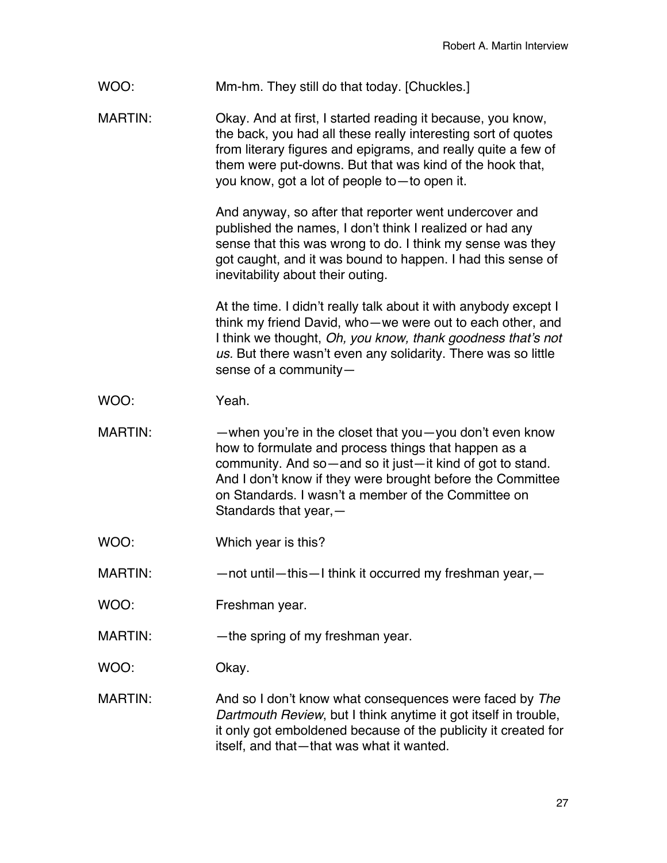| WOO: |  | Mm-hm. They still do that today. [Chuckles.] |  |
|------|--|----------------------------------------------|--|
|      |  |                                              |  |

MARTIN: Okay. And at first, I started reading it because, you know, the back, you had all these really interesting sort of quotes from literary figures and epigrams, and really quite a few of them were put-downs. But that was kind of the hook that, you know, got a lot of people to—to open it.

> And anyway, so after that reporter went undercover and published the names, I don't think I realized or had any sense that this was wrong to do. I think my sense was they got caught, and it was bound to happen. I had this sense of inevitability about their outing.

> At the time. I didn't really talk about it with anybody except I think my friend David, who—we were out to each other, and I think we thought, *Oh, you know, thank goodness that's not us.* But there wasn't even any solidarity. There was so little sense of a community—

WOO: Yeah.

- MARTIN: —when you're in the closet that you—you don't even know how to formulate and process things that happen as a community. And so—and so it just—it kind of got to stand. And I don't know if they were brought before the Committee on Standards. I wasn't a member of the Committee on Standards that year,—
- WOO: Which year is this?
- MARTIN: — not until—this—I think it occurred my freshman year, —
- WOO: Freshman year.
- MARTIN: — the spring of my freshman year.
- WOO: Okay.

MARTIN: And so I don't know what consequences were faced by *The Dartmouth Review*, but I think anytime it got itself in trouble, it only got emboldened because of the publicity it created for itself, and that—that was what it wanted.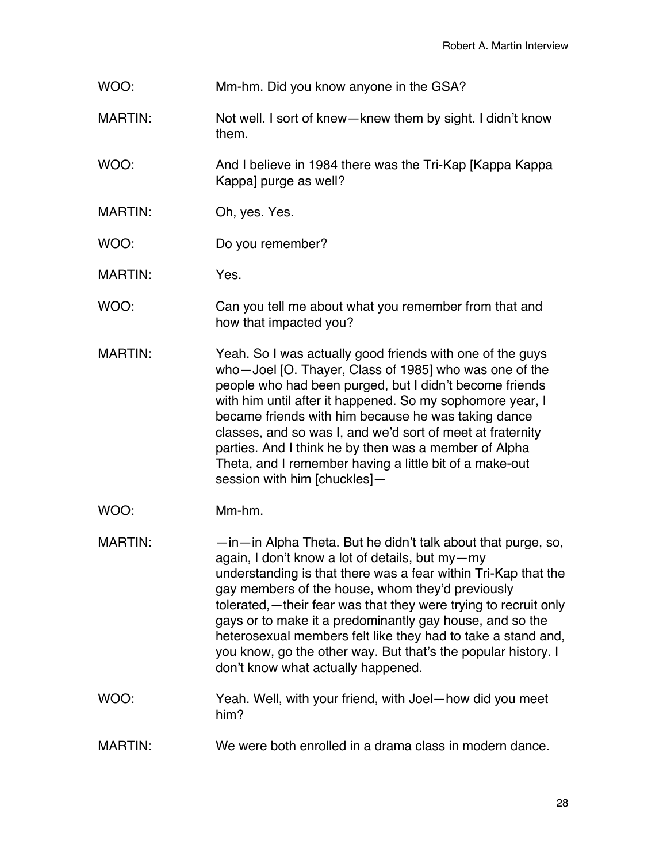| WOO:           | Mm-hm. Did you know anyone in the GSA?                                                                                                                                                                                                                                                                                                                                                                                                                                                                                                        |
|----------------|-----------------------------------------------------------------------------------------------------------------------------------------------------------------------------------------------------------------------------------------------------------------------------------------------------------------------------------------------------------------------------------------------------------------------------------------------------------------------------------------------------------------------------------------------|
| <b>MARTIN:</b> | Not well. I sort of knew—knew them by sight. I didn't know<br>them.                                                                                                                                                                                                                                                                                                                                                                                                                                                                           |
| WOO:           | And I believe in 1984 there was the Tri-Kap [Kappa Kappa<br>Kappa] purge as well?                                                                                                                                                                                                                                                                                                                                                                                                                                                             |
| <b>MARTIN:</b> | Oh, yes. Yes.                                                                                                                                                                                                                                                                                                                                                                                                                                                                                                                                 |
| WOO:           | Do you remember?                                                                                                                                                                                                                                                                                                                                                                                                                                                                                                                              |
| <b>MARTIN:</b> | Yes.                                                                                                                                                                                                                                                                                                                                                                                                                                                                                                                                          |
| WOO:           | Can you tell me about what you remember from that and<br>how that impacted you?                                                                                                                                                                                                                                                                                                                                                                                                                                                               |
| <b>MARTIN:</b> | Yeah. So I was actually good friends with one of the guys<br>who-Joel [O. Thayer, Class of 1985] who was one of the<br>people who had been purged, but I didn't become friends<br>with him until after it happened. So my sophomore year, I<br>became friends with him because he was taking dance<br>classes, and so was I, and we'd sort of meet at fraternity<br>parties. And I think he by then was a member of Alpha<br>Theta, and I remember having a little bit of a make-out<br>session with him [chuckles]-                          |
| WOO:           | Mm-hm.                                                                                                                                                                                                                                                                                                                                                                                                                                                                                                                                        |
| <b>MARTIN:</b> | -in-in Alpha Theta. But he didn't talk about that purge, so,<br>again, I don't know a lot of details, but my—my<br>understanding is that there was a fear within Tri-Kap that the<br>gay members of the house, whom they'd previously<br>tolerated, — their fear was that they were trying to recruit only<br>gays or to make it a predominantly gay house, and so the<br>heterosexual members felt like they had to take a stand and,<br>you know, go the other way. But that's the popular history. I<br>don't know what actually happened. |
| WOO:           | Yeah. Well, with your friend, with Joel-how did you meet<br>him?                                                                                                                                                                                                                                                                                                                                                                                                                                                                              |
| <b>MARTIN:</b> | We were both enrolled in a drama class in modern dance.                                                                                                                                                                                                                                                                                                                                                                                                                                                                                       |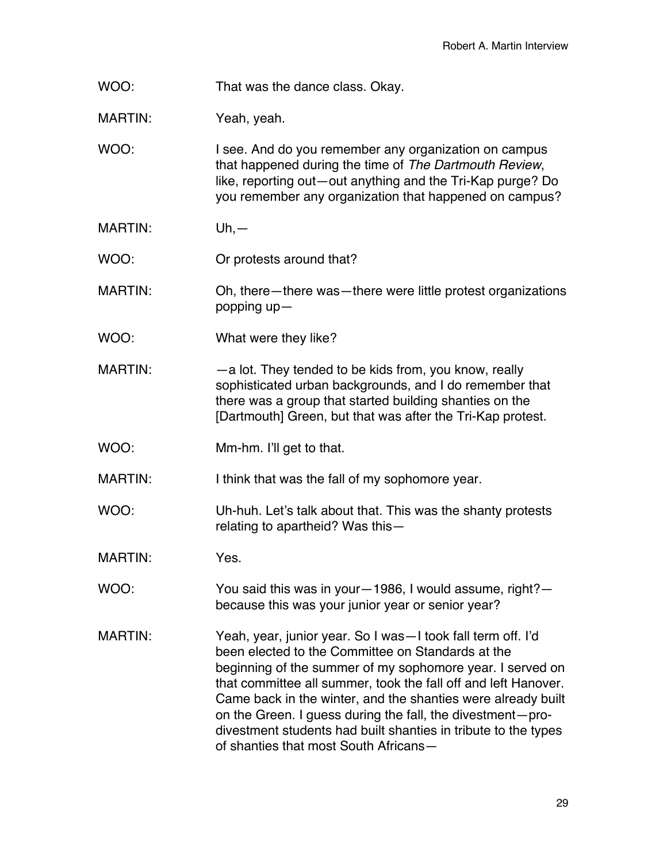WOO: That was the dance class. Okay.

MARTIN: Yeah, yeah.

WOO: I see. And do you remember any organization on campus that happened during the time of *The Dartmouth Review*, like, reporting out—out anything and the Tri-Kap purge? Do you remember any organization that happened on campus?

MARTIN: Uh,—

WOO: Or protests around that?

- MARTIN: Oh, there—there was—there were little protest organizations popping up—
- WOO: What were they like?
- MARTIN: —a lot. They tended to be kids from, you know, really sophisticated urban backgrounds, and I do remember that there was a group that started building shanties on the [Dartmouth] Green, but that was after the Tri-Kap protest.
- WOO: Mm-hm. I'll get to that.

MARTIN: I think that was the fall of my sophomore year.

- WOO: Uh-huh. Let's talk about that. This was the shanty protests relating to apartheid? Was this—
- MARTIN: Yes.

WOO: You said this was in your-1986, I would assume, right?because this was your junior year or senior year?

MARTIN: Yeah, year, junior year. So I was—I took fall term off. I'd been elected to the Committee on Standards at the beginning of the summer of my sophomore year. I served on that committee all summer, took the fall off and left Hanover. Came back in the winter, and the shanties were already built on the Green. I guess during the fall, the divestment—prodivestment students had built shanties in tribute to the types of shanties that most South Africans—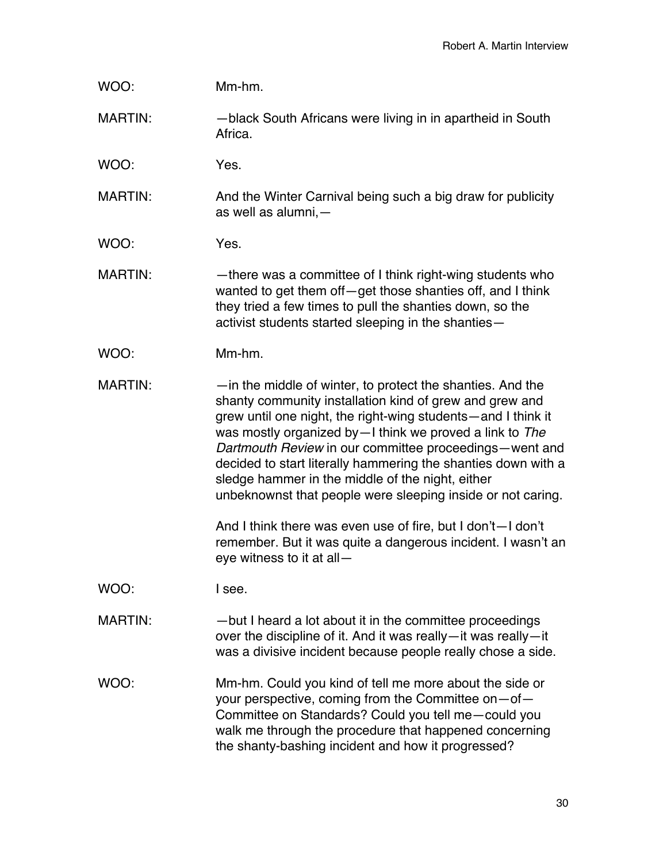| WOO:           | Mm-hm.                                                                                                                                                                                                                                                                                                                                                                                                                                                                                          |
|----------------|-------------------------------------------------------------------------------------------------------------------------------------------------------------------------------------------------------------------------------------------------------------------------------------------------------------------------------------------------------------------------------------------------------------------------------------------------------------------------------------------------|
| <b>MARTIN:</b> | -black South Africans were living in in apartheid in South<br>Africa.                                                                                                                                                                                                                                                                                                                                                                                                                           |
| WOO:           | Yes.                                                                                                                                                                                                                                                                                                                                                                                                                                                                                            |
| <b>MARTIN:</b> | And the Winter Carnival being such a big draw for publicity<br>as well as alumni, -                                                                                                                                                                                                                                                                                                                                                                                                             |
| WOO:           | Yes.                                                                                                                                                                                                                                                                                                                                                                                                                                                                                            |
| <b>MARTIN:</b> | -there was a committee of I think right-wing students who<br>wanted to get them off-get those shanties off, and I think<br>they tried a few times to pull the shanties down, so the<br>activist students started sleeping in the shanties-                                                                                                                                                                                                                                                      |
| WOO:           | Mm-hm.                                                                                                                                                                                                                                                                                                                                                                                                                                                                                          |
| <b>MARTIN:</b> | - in the middle of winter, to protect the shanties. And the<br>shanty community installation kind of grew and grew and<br>grew until one night, the right-wing students—and I think it<br>was mostly organized by-I think we proved a link to The<br>Dartmouth Review in our committee proceedings-went and<br>decided to start literally hammering the shanties down with a<br>sledge hammer in the middle of the night, either<br>unbeknownst that people were sleeping inside or not caring. |
|                | And I think there was even use of fire, but I don't—I don't<br>remember. But it was quite a dangerous incident. I wasn't an<br>eye witness to it at all-                                                                                                                                                                                                                                                                                                                                        |
| WOO:           | I see.                                                                                                                                                                                                                                                                                                                                                                                                                                                                                          |
| <b>MARTIN:</b> | -but I heard a lot about it in the committee proceedings<br>over the discipline of it. And it was really-it was really-it<br>was a divisive incident because people really chose a side.                                                                                                                                                                                                                                                                                                        |
| WOO:           | Mm-hm. Could you kind of tell me more about the side or<br>your perspective, coming from the Committee on-of-<br>Committee on Standards? Could you tell me-could you<br>walk me through the procedure that happened concerning<br>the shanty-bashing incident and how it progressed?                                                                                                                                                                                                            |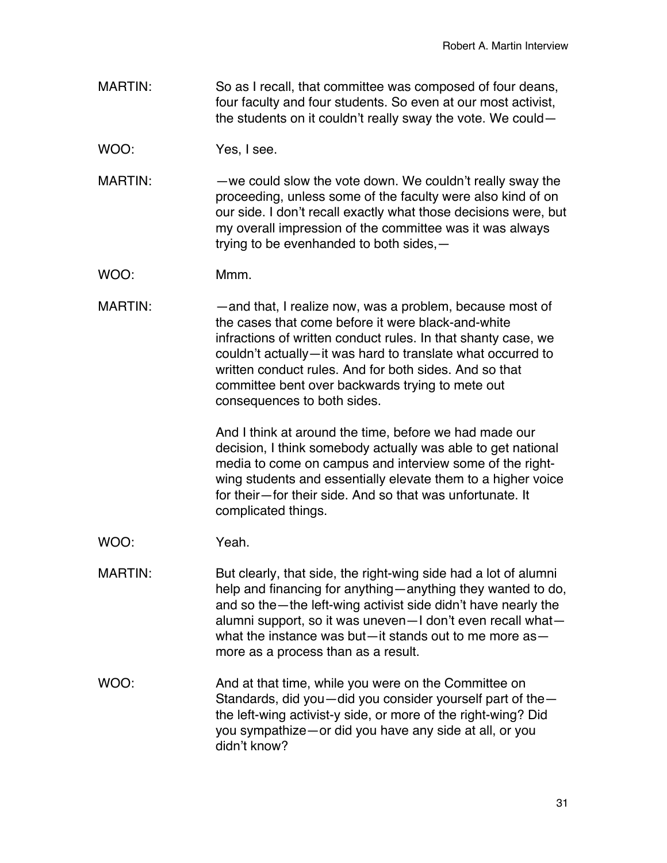MARTIN: So as I recall, that committee was composed of four deans, four faculty and four students. So even at our most activist, the students on it couldn't really sway the vote. We could—

WOO: Yes, I see.

MARTIN: —we could slow the vote down. We couldn't really sway the proceeding, unless some of the faculty were also kind of on our side. I don't recall exactly what those decisions were, but my overall impression of the committee was it was always trying to be evenhanded to both sides,—

WOO: Mmm.

MARTIN: — — and that, I realize now, was a problem, because most of the cases that come before it were black-and-white infractions of written conduct rules. In that shanty case, we couldn't actually—it was hard to translate what occurred to written conduct rules. And for both sides. And so that committee bent over backwards trying to mete out consequences to both sides.

> And I think at around the time, before we had made our decision, I think somebody actually was able to get national media to come on campus and interview some of the rightwing students and essentially elevate them to a higher voice for their—for their side. And so that was unfortunate. It complicated things.

- WOO: Yeah.
- MARTIN: But clearly, that side, the right-wing side had a lot of alumni help and financing for anything—anything they wanted to do, and so the—the left-wing activist side didn't have nearly the alumni support, so it was uneven—I don't even recall what what the instance was but—it stands out to me more as more as a process than as a result.
- WOO: And at that time, while you were on the Committee on Standards, did you—did you consider yourself part of the the left-wing activist-y side, or more of the right-wing? Did you sympathize—or did you have any side at all, or you didn't know?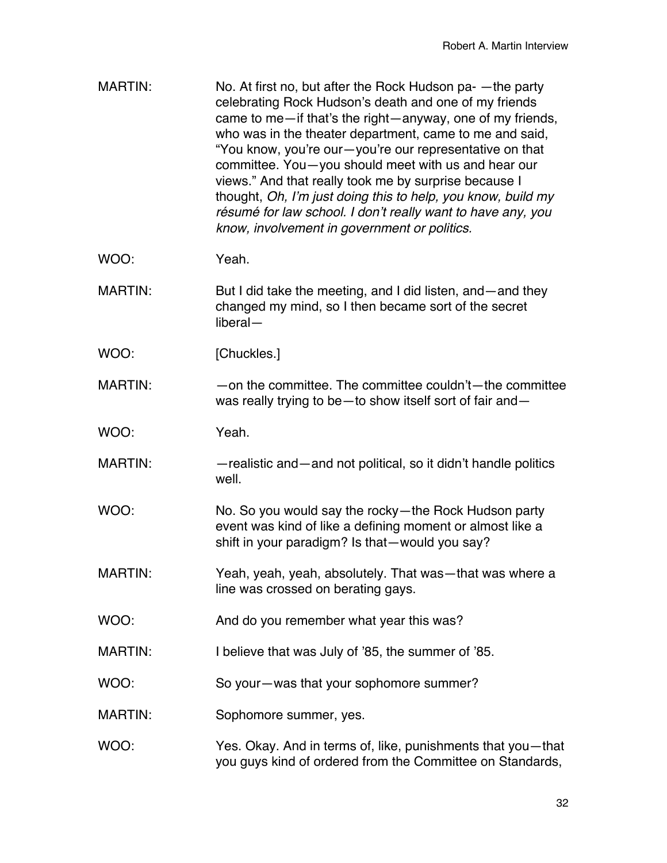| <b>MARTIN:</b> | No. At first no, but after the Rock Hudson pa- — the party<br>celebrating Rock Hudson's death and one of my friends<br>came to me-if that's the right-anyway, one of my friends,<br>who was in the theater department, came to me and said,<br>"You know, you're our-you're our representative on that<br>committee. You-you should meet with us and hear our<br>views." And that really took me by surprise because I<br>thought, Oh, I'm just doing this to help, you know, build my<br>résumé for law school. I don't really want to have any, you<br>know, involvement in government or politics. |
|----------------|-------------------------------------------------------------------------------------------------------------------------------------------------------------------------------------------------------------------------------------------------------------------------------------------------------------------------------------------------------------------------------------------------------------------------------------------------------------------------------------------------------------------------------------------------------------------------------------------------------|
| WOO:           | Yeah.                                                                                                                                                                                                                                                                                                                                                                                                                                                                                                                                                                                                 |
| <b>MARTIN:</b> | But I did take the meeting, and I did listen, and — and they<br>changed my mind, so I then became sort of the secret<br>liberal-                                                                                                                                                                                                                                                                                                                                                                                                                                                                      |
| WOO:           | [Chuckles.]                                                                                                                                                                                                                                                                                                                                                                                                                                                                                                                                                                                           |
| <b>MARTIN:</b> | -on the committee. The committee couldn't-the committee<br>was really trying to be-to show itself sort of fair and-                                                                                                                                                                                                                                                                                                                                                                                                                                                                                   |
| WOO:           | Yeah.                                                                                                                                                                                                                                                                                                                                                                                                                                                                                                                                                                                                 |
| <b>MARTIN:</b> | -realistic and-and not political, so it didn't handle politics<br>well.                                                                                                                                                                                                                                                                                                                                                                                                                                                                                                                               |
| WOO:           | No. So you would say the rocky-the Rock Hudson party<br>event was kind of like a defining moment or almost like a<br>shift in your paradigm? Is that—would you say?                                                                                                                                                                                                                                                                                                                                                                                                                                   |
| <b>MARTIN:</b> | Yeah, yeah, yeah, absolutely. That was-that was where a<br>line was crossed on berating gays.                                                                                                                                                                                                                                                                                                                                                                                                                                                                                                         |
| WOO:           | And do you remember what year this was?                                                                                                                                                                                                                                                                                                                                                                                                                                                                                                                                                               |
| <b>MARTIN:</b> | I believe that was July of '85, the summer of '85.                                                                                                                                                                                                                                                                                                                                                                                                                                                                                                                                                    |
| WOO:           | So your-was that your sophomore summer?                                                                                                                                                                                                                                                                                                                                                                                                                                                                                                                                                               |
| <b>MARTIN:</b> | Sophomore summer, yes.                                                                                                                                                                                                                                                                                                                                                                                                                                                                                                                                                                                |
| WOO:           | Yes. Okay. And in terms of, like, punishments that you - that<br>you guys kind of ordered from the Committee on Standards,                                                                                                                                                                                                                                                                                                                                                                                                                                                                            |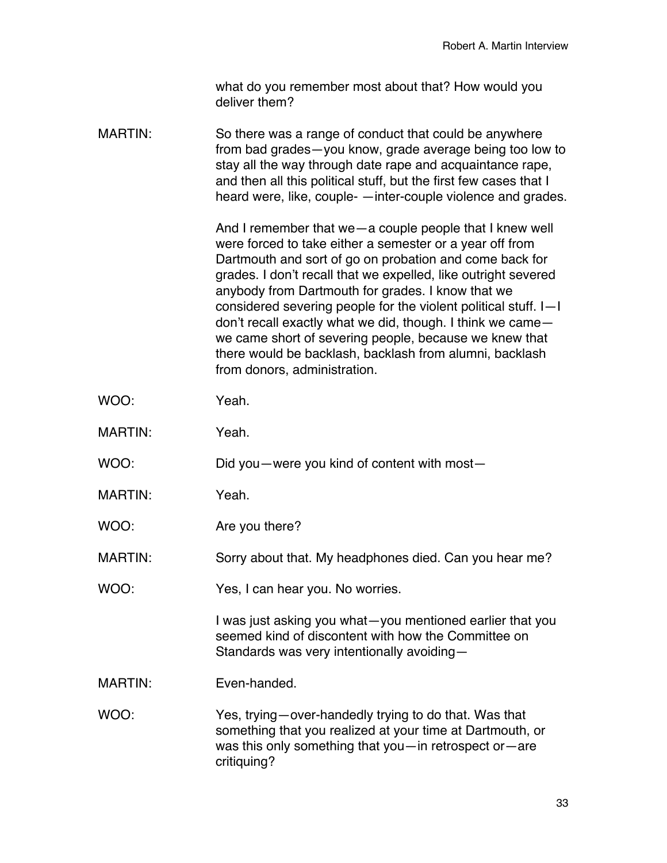what do you remember most about that? How would you deliver them?

MARTIN: So there was a range of conduct that could be anywhere from bad grades—you know, grade average being too low to stay all the way through date rape and acquaintance rape, and then all this political stuff, but the first few cases that I heard were, like, couple- —inter-couple violence and grades.

> And I remember that we—a couple people that I knew well were forced to take either a semester or a year off from Dartmouth and sort of go on probation and come back for grades. I don't recall that we expelled, like outright severed anybody from Dartmouth for grades. I know that we considered severing people for the violent political stuff. I—I don't recall exactly what we did, though. I think we came we came short of severing people, because we knew that there would be backlash, backlash from alumni, backlash from donors, administration.

- WOO: Yeah.
- MARTIN: Yeah.
- WOO: Did you—were you kind of content with most—
- MARTIN: Yeah.
- WOO: Are you there?
- MARTIN: Sorry about that. My headphones died. Can you hear me?
- WOO: Yes, I can hear you. No worries.

I was just asking you what—you mentioned earlier that you seemed kind of discontent with how the Committee on Standards was very intentionally avoiding—

- MARTIN: Even-handed.
- WOO: Yes, trying—over-handedly trying to do that. Was that something that you realized at your time at Dartmouth, or was this only something that you—in retrospect or—are critiquing?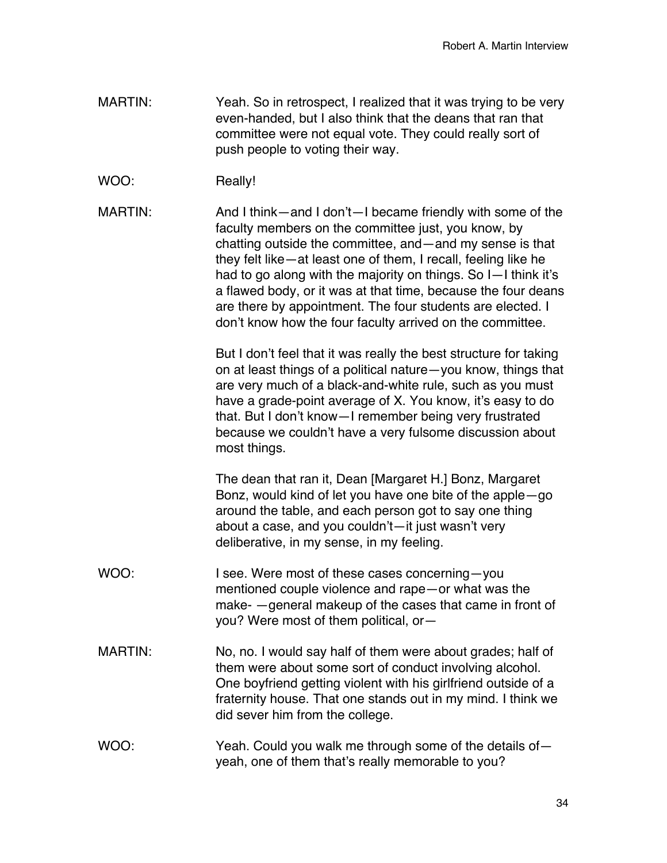| MARTIN: | Yeah. So in retrospect, I realized that it was trying to be very |
|---------|------------------------------------------------------------------|
|         | even-handed, but I also think that the deans that ran that       |
|         | committee were not equal vote. They could really sort of         |
|         | push people to voting their way.                                 |

WOO: Really!

MARTIN: And I think—and I don't—I became friendly with some of the faculty members on the committee just, you know, by chatting outside the committee, and—and my sense is that they felt like—at least one of them, I recall, feeling like he had to go along with the majority on things. So I—I think it's a flawed body, or it was at that time, because the four deans are there by appointment. The four students are elected. I don't know how the four faculty arrived on the committee.

> But I don't feel that it was really the best structure for taking on at least things of a political nature—you know, things that are very much of a black-and-white rule, such as you must have a grade-point average of X. You know, it's easy to do that. But I don't know—I remember being very frustrated because we couldn't have a very fulsome discussion about most things.

The dean that ran it, Dean [Margaret H.] Bonz, Margaret Bonz, would kind of let you have one bite of the apple—go around the table, and each person got to say one thing about a case, and you couldn't—it just wasn't very deliberative, in my sense, in my feeling.

- WOO: I see. Were most of these cases concerning—you mentioned couple violence and rape—or what was the make- —general makeup of the cases that came in front of you? Were most of them political, or—
- MARTIN: No, no. I would say half of them were about grades; half of them were about some sort of conduct involving alcohol. One boyfriend getting violent with his girlfriend outside of a fraternity house. That one stands out in my mind. I think we did sever him from the college.
- WOO: Yeah. Could you walk me through some of the details ofyeah, one of them that's really memorable to you?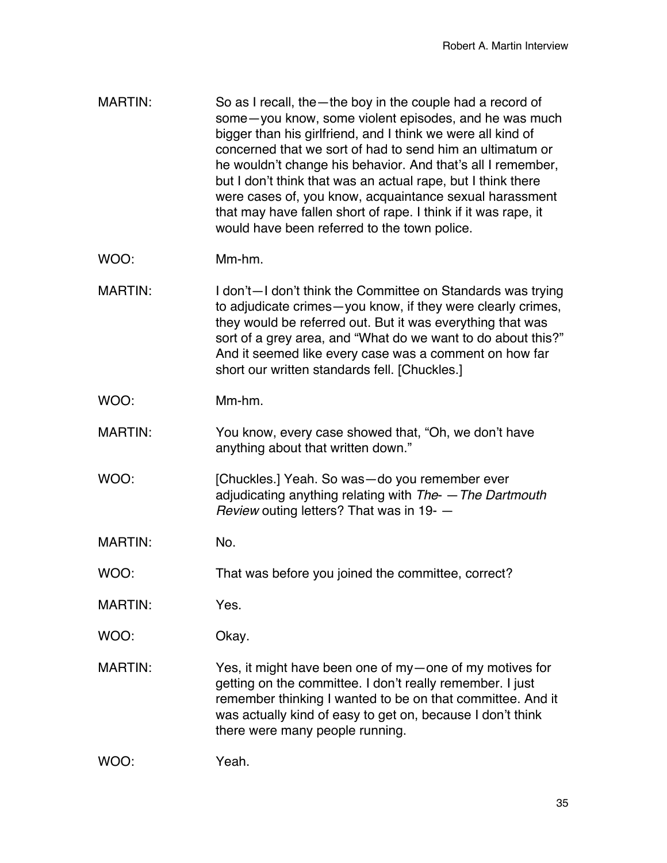| <b>MARTIN:</b> | So as I recall, the — the boy in the couple had a record of<br>some-you know, some violent episodes, and he was much<br>bigger than his girlfriend, and I think we were all kind of<br>concerned that we sort of had to send him an ultimatum or<br>he wouldn't change his behavior. And that's all I remember,<br>but I don't think that was an actual rape, but I think there<br>were cases of, you know, acquaintance sexual harassment<br>that may have fallen short of rape. I think if it was rape, it<br>would have been referred to the town police. |
|----------------|--------------------------------------------------------------------------------------------------------------------------------------------------------------------------------------------------------------------------------------------------------------------------------------------------------------------------------------------------------------------------------------------------------------------------------------------------------------------------------------------------------------------------------------------------------------|
| WOO:           | Mm-hm.                                                                                                                                                                                                                                                                                                                                                                                                                                                                                                                                                       |
| <b>MARTIN:</b> | I don't—I don't think the Committee on Standards was trying<br>to adjudicate crimes-you know, if they were clearly crimes,<br>they would be referred out. But it was everything that was<br>sort of a grey area, and "What do we want to do about this?"<br>And it seemed like every case was a comment on how far<br>short our written standards fell. [Chuckles.]                                                                                                                                                                                          |
| WOO:           | Mm-hm.                                                                                                                                                                                                                                                                                                                                                                                                                                                                                                                                                       |
| <b>MARTIN:</b> | You know, every case showed that, "Oh, we don't have<br>anything about that written down."                                                                                                                                                                                                                                                                                                                                                                                                                                                                   |
| WOO:           | [Chuckles.] Yeah. So was-do you remember ever<br>adjudicating anything relating with The- - The Dartmouth<br><i>Review</i> outing letters? That was in 19- -                                                                                                                                                                                                                                                                                                                                                                                                 |
| <b>MARTIN:</b> | No.                                                                                                                                                                                                                                                                                                                                                                                                                                                                                                                                                          |
| WOO:           | That was before you joined the committee, correct?                                                                                                                                                                                                                                                                                                                                                                                                                                                                                                           |
| <b>MARTIN:</b> | Yes.                                                                                                                                                                                                                                                                                                                                                                                                                                                                                                                                                         |
| WOO:           | Okay.                                                                                                                                                                                                                                                                                                                                                                                                                                                                                                                                                        |
| <b>MARTIN:</b> | Yes, it might have been one of my — one of my motives for<br>getting on the committee. I don't really remember. I just<br>remember thinking I wanted to be on that committee. And it<br>was actually kind of easy to get on, because I don't think<br>there were many people running.                                                                                                                                                                                                                                                                        |
| WOO:           | Yeah.                                                                                                                                                                                                                                                                                                                                                                                                                                                                                                                                                        |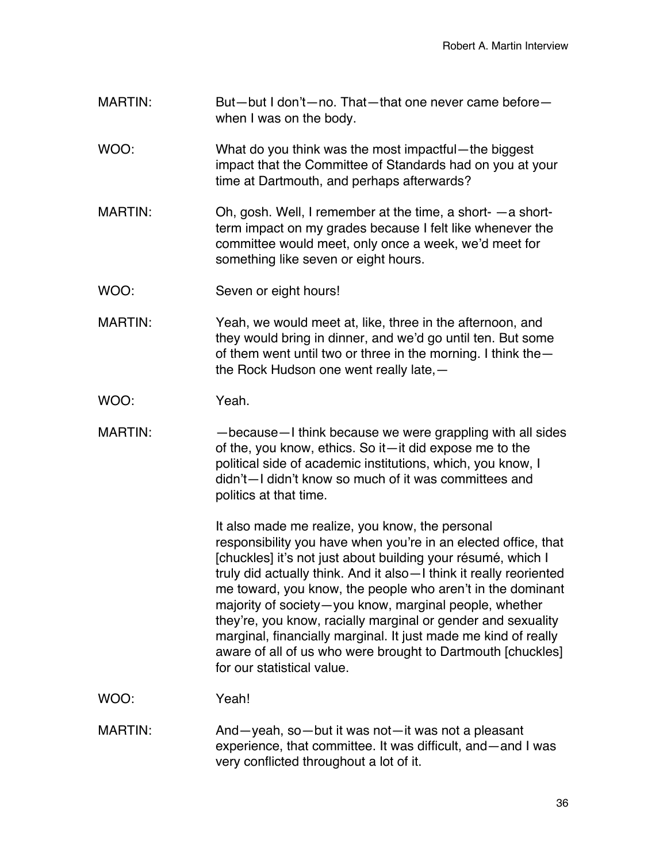- MARTIN: But—but I don't—no. That—that one never came before when I was on the body.
- WOO: What do you think was the most impactful—the biggest impact that the Committee of Standards had on you at your time at Dartmouth, and perhaps afterwards?
- MARTIN: Oh, gosh. Well, I remember at the time, a short- —a shortterm impact on my grades because I felt like whenever the committee would meet, only once a week, we'd meet for something like seven or eight hours.
- WOO: Seven or eight hours!
- MARTIN: Yeah, we would meet at, like, three in the afternoon, and they would bring in dinner, and we'd go until ten. But some of them went until two or three in the morning. I think the the Rock Hudson one went really late,—
- WOO: Yeah.
- MARTIN: —because—I think because we were grappling with all sides of the, you know, ethics. So it—it did expose me to the political side of academic institutions, which, you know, I didn't—I didn't know so much of it was committees and politics at that time.

It also made me realize, you know, the personal responsibility you have when you're in an elected office, that [chuckles] it's not just about building your résumé, which I truly did actually think. And it also—I think it really reoriented me toward, you know, the people who aren't in the dominant majority of society—you know, marginal people, whether they're, you know, racially marginal or gender and sexuality marginal, financially marginal. It just made me kind of really aware of all of us who were brought to Dartmouth [chuckles] for our statistical value.

WOO: Yeah!

MARTIN: And—yeah, so—but it was not—it was not a pleasant experience, that committee. It was difficult, and—and I was very conflicted throughout a lot of it.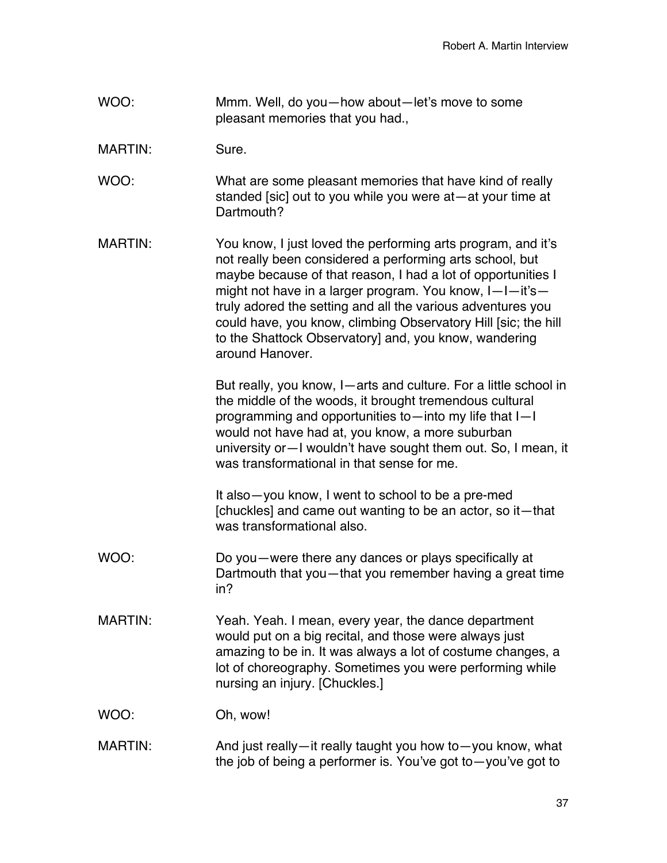- WOO: Mmm. Well, do you—how about—let's move to some pleasant memories that you had.,
- MARTIN: Sure.
- WOO: What are some pleasant memories that have kind of really standed [sic] out to you while you were at—at your time at Dartmouth?
- MARTIN: You know, I just loved the performing arts program, and it's not really been considered a performing arts school, but maybe because of that reason, I had a lot of opportunities I might not have in a larger program. You know, I—I—it's truly adored the setting and all the various adventures you could have, you know, climbing Observatory Hill [sic; the hill to the Shattock Observatory] and, you know, wandering around Hanover.

But really, you know, I—arts and culture. For a little school in the middle of the woods, it brought tremendous cultural programming and opportunities to—into my life that I—I would not have had at, you know, a more suburban university or—I wouldn't have sought them out. So, I mean, it was transformational in that sense for me.

It also—you know, I went to school to be a pre-med [chuckles] and came out wanting to be an actor, so it—that was transformational also.

- WOO: Do you—were there any dances or plays specifically at Dartmouth that you—that you remember having a great time in?
- MARTIN: Yeah. Yeah. I mean, every year, the dance department would put on a big recital, and those were always just amazing to be in. It was always a lot of costume changes, a lot of choreography. Sometimes you were performing while nursing an injury. [Chuckles.]

WOO: Oh, wow!

MARTIN: And just really—it really taught you how to—you know, what the job of being a performer is. You've got to—you've got to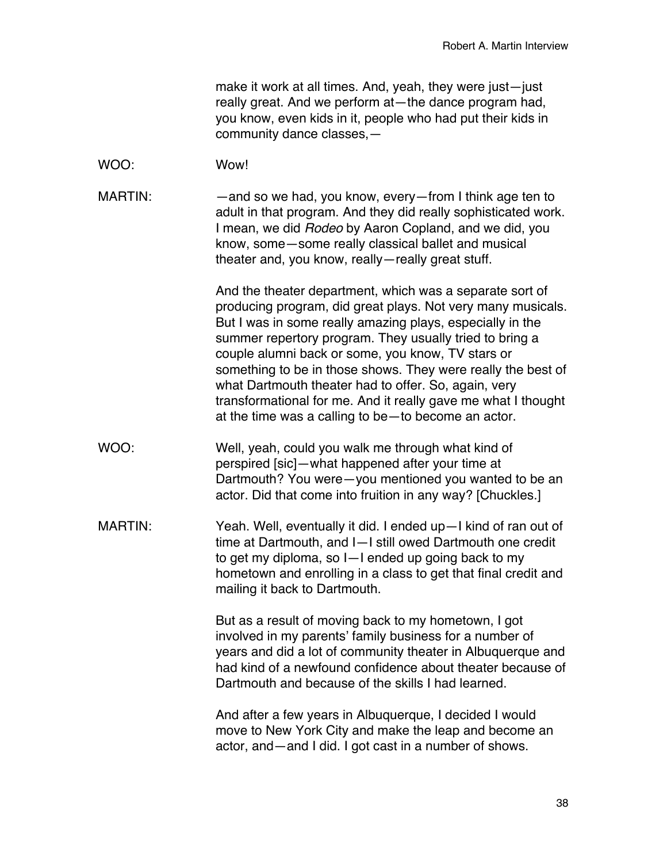make it work at all times. And, yeah, they were just—just really great. And we perform at—the dance program had, you know, even kids in it, people who had put their kids in community dance classes,—

WOO: Wow!

MARTIN: — — and so we had, you know, every—from I think age ten to adult in that program. And they did really sophisticated work. I mean, we did *Rodeo* by Aaron Copland, and we did, you know, some—some really classical ballet and musical theater and, you know, really—really great stuff.

> And the theater department, which was a separate sort of producing program, did great plays. Not very many musicals. But I was in some really amazing plays, especially in the summer repertory program. They usually tried to bring a couple alumni back or some, you know, TV stars or something to be in those shows. They were really the best of what Dartmouth theater had to offer. So, again, very transformational for me. And it really gave me what I thought at the time was a calling to be—to become an actor.

- WOO: Well, yeah, could you walk me through what kind of perspired [sic]—what happened after your time at Dartmouth? You were—you mentioned you wanted to be an actor. Did that come into fruition in any way? [Chuckles.]
- MARTIN: Yeah. Well, eventually it did. I ended up—I kind of ran out of time at Dartmouth, and I—I still owed Dartmouth one credit to get my diploma, so I—I ended up going back to my hometown and enrolling in a class to get that final credit and mailing it back to Dartmouth.

But as a result of moving back to my hometown, I got involved in my parents' family business for a number of years and did a lot of community theater in Albuquerque and had kind of a newfound confidence about theater because of Dartmouth and because of the skills I had learned.

And after a few years in Albuquerque, I decided I would move to New York City and make the leap and become an actor, and—and I did. I got cast in a number of shows.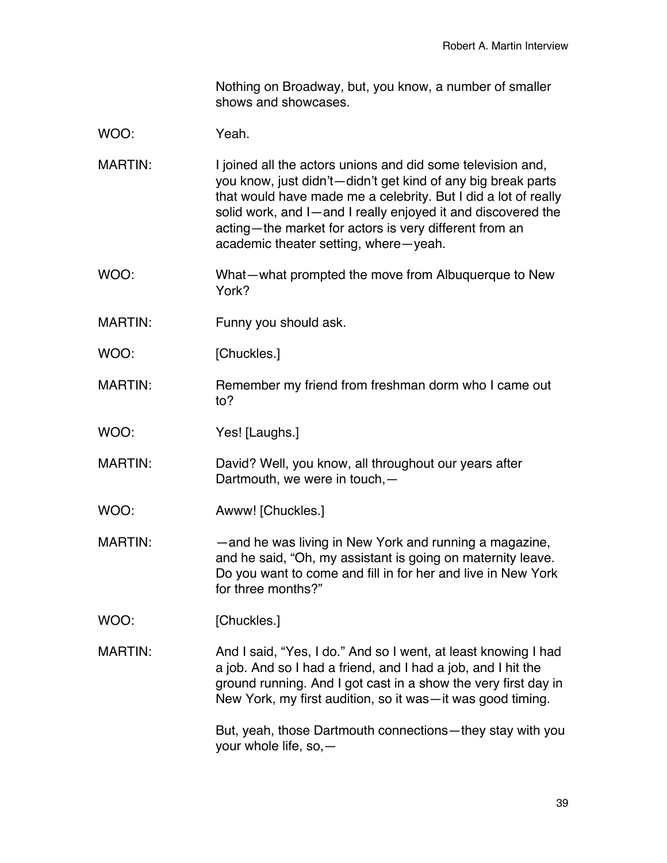Nothing on Broadway, but, you know, a number of smaller shows and showcases.

- WOO: Yeah
- MARTIN: I joined all the actors unions and did some television and, you know, just didn't—didn't get kind of any big break parts that would have made me a celebrity. But I did a lot of really solid work, and I—and I really enjoyed it and discovered the acting—the market for actors is very different from an academic theater setting, where—yeah.
- WOO: What—what prompted the move from Albuquerque to New York?
- MARTIN: Funny you should ask.
- WOO: [Chuckles.]
- MARTIN: Remember my friend from freshman dorm who I came out to?
- WOO: Yes! [Laughs.]
- MARTIN: David? Well, you know, all throughout our years after Dartmouth, we were in touch,—
- WOO: Awww! [Chuckles.]
- MARTIN: — and he was living in New York and running a magazine, and he said, "Oh, my assistant is going on maternity leave. Do you want to come and fill in for her and live in New York for three months?"
- WOO: [Chuckles.]
- MARTIN: And I said, "Yes, I do." And so I went, at least knowing I had a job. And so I had a friend, and I had a job, and I hit the ground running. And I got cast in a show the very first day in New York, my first audition, so it was—it was good timing.

But, yeah, those Dartmouth connections—they stay with you your whole life, so,—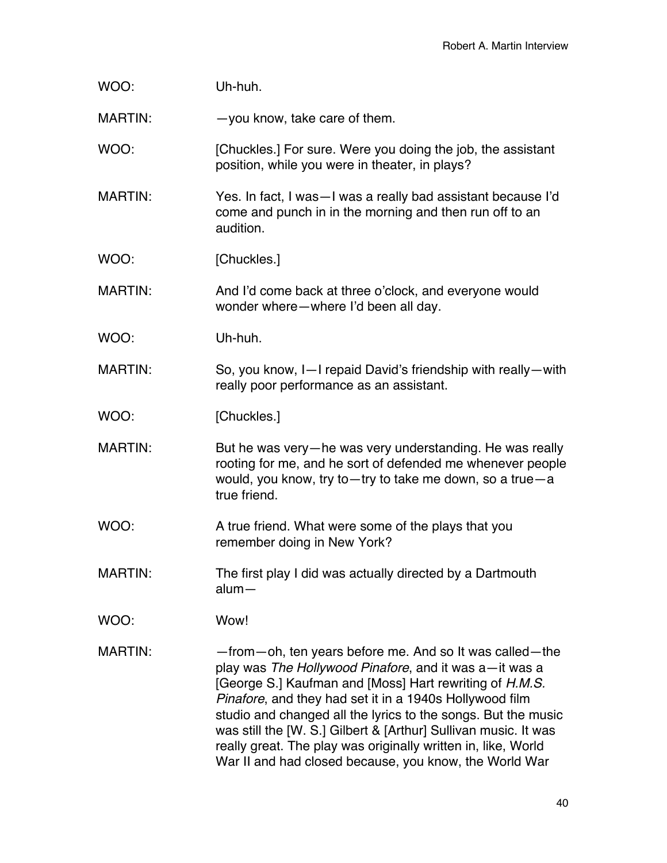| WOO:           | Uh-huh.                                                                                                                                                                                                                                                                                                                                                                                                                                                                                                |
|----------------|--------------------------------------------------------------------------------------------------------------------------------------------------------------------------------------------------------------------------------------------------------------------------------------------------------------------------------------------------------------------------------------------------------------------------------------------------------------------------------------------------------|
| <b>MARTIN:</b> | -you know, take care of them.                                                                                                                                                                                                                                                                                                                                                                                                                                                                          |
| WOO:           | [Chuckles.] For sure. Were you doing the job, the assistant<br>position, while you were in theater, in plays?                                                                                                                                                                                                                                                                                                                                                                                          |
| <b>MARTIN:</b> | Yes. In fact, I was - I was a really bad assistant because I'd<br>come and punch in in the morning and then run off to an<br>audition.                                                                                                                                                                                                                                                                                                                                                                 |
| WOO:           | [Chuckles.]                                                                                                                                                                                                                                                                                                                                                                                                                                                                                            |
| <b>MARTIN:</b> | And I'd come back at three o'clock, and everyone would<br>wonder where — where I'd been all day.                                                                                                                                                                                                                                                                                                                                                                                                       |
| WOO:           | Uh-huh.                                                                                                                                                                                                                                                                                                                                                                                                                                                                                                |
| <b>MARTIN:</b> | So, you know, I-I repaid David's friendship with really-with<br>really poor performance as an assistant.                                                                                                                                                                                                                                                                                                                                                                                               |
| WOO:           | [Chuckles.]                                                                                                                                                                                                                                                                                                                                                                                                                                                                                            |
| <b>MARTIN:</b> | But he was very—he was very understanding. He was really<br>rooting for me, and he sort of defended me whenever people<br>would, you know, try to $-$ try to take me down, so a true $-a$<br>true friend.                                                                                                                                                                                                                                                                                              |
| WOO:           | A true friend. What were some of the plays that you<br>remember doing in New York?                                                                                                                                                                                                                                                                                                                                                                                                                     |
| <b>MARTIN:</b> | The first play I did was actually directed by a Dartmouth<br>$alum-$                                                                                                                                                                                                                                                                                                                                                                                                                                   |
| WOO:           | Wow!                                                                                                                                                                                                                                                                                                                                                                                                                                                                                                   |
| <b>MARTIN:</b> | -from-oh, ten years before me. And so It was called-the<br>play was The Hollywood Pinafore, and it was a—it was a<br>[George S.] Kaufman and [Moss] Hart rewriting of H.M.S.<br>Pinafore, and they had set it in a 1940s Hollywood film<br>studio and changed all the lyrics to the songs. But the music<br>was still the [W. S.] Gilbert & [Arthur] Sullivan music. It was<br>really great. The play was originally written in, like, World<br>War II and had closed because, you know, the World War |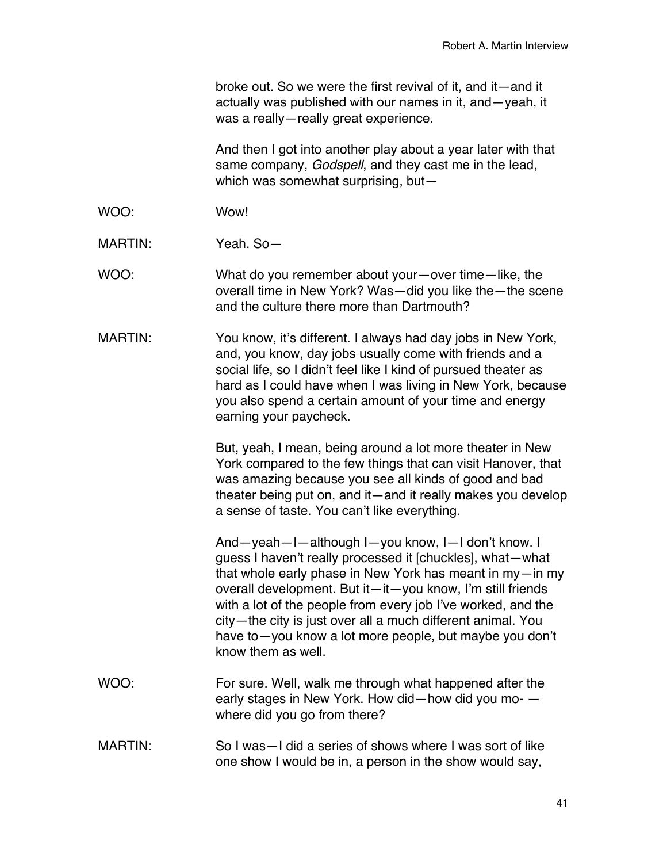broke out. So we were the first revival of it, and it—and it actually was published with our names in it, and—yeah, it was a really—really great experience.

And then I got into another play about a year later with that same company, *Godspell*, and they cast me in the lead, which was somewhat surprising, but—

- WOO: Wow!
- MARTIN: Yeah. So—

WOO: What do you remember about your—over time—like, the overall time in New York? Was—did you like the—the scene and the culture there more than Dartmouth?

MARTIN: You know, it's different. I always had day jobs in New York, and, you know, day jobs usually come with friends and a social life, so I didn't feel like I kind of pursued theater as hard as I could have when I was living in New York, because you also spend a certain amount of your time and energy earning your paycheck.

> But, yeah, I mean, being around a lot more theater in New York compared to the few things that can visit Hanover, that was amazing because you see all kinds of good and bad theater being put on, and it—and it really makes you develop a sense of taste. You can't like everything.

And—yeah—I—although I—you know, I—I don't know. I guess I haven't really processed it [chuckles], what—what that whole early phase in New York has meant in my—in my overall development. But it—it—you know, I'm still friends with a lot of the people from every job I've worked, and the city—the city is just over all a much different animal. You have to—you know a lot more people, but maybe you don't know them as well.

- WOO: For sure. Well, walk me through what happened after the early stages in New York. How did—how did you mo- where did you go from there?
- MARTIN: So I was—I did a series of shows where I was sort of like one show I would be in, a person in the show would say,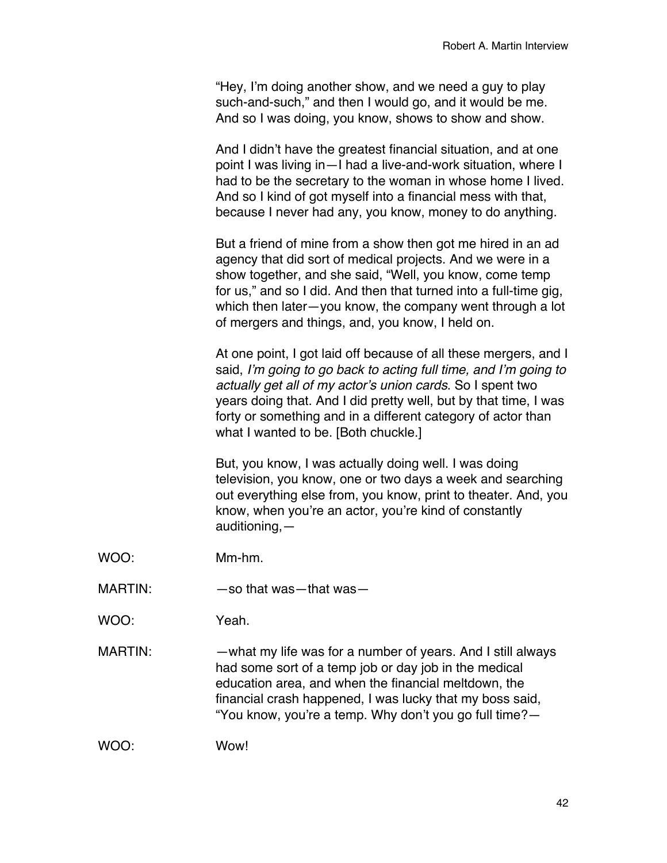"Hey, I'm doing another show, and we need a guy to play such-and-such," and then I would go, and it would be me. And so I was doing, you know, shows to show and show.

And I didn't have the greatest financial situation, and at one point I was living in—I had a live-and-work situation, where I had to be the secretary to the woman in whose home I lived. And so I kind of got myself into a financial mess with that, because I never had any, you know, money to do anything.

But a friend of mine from a show then got me hired in an ad agency that did sort of medical projects. And we were in a show together, and she said, "Well, you know, come temp for us," and so I did. And then that turned into a full-time gig, which then later—you know, the company went through a lot of mergers and things, and, you know, I held on.

At one point, I got laid off because of all these mergers, and I said, *I'm going to go back to acting full time, and I'm going to actually get all of my actor's union cards*. So I spent two years doing that. And I did pretty well, but by that time, I was forty or something and in a different category of actor than what I wanted to be. [Both chuckle.]

But, you know, I was actually doing well. I was doing television, you know, one or two days a week and searching out everything else from, you know, print to theater. And, you know, when you're an actor, you're kind of constantly auditioning,—

- WOO: Mm-hm.
- MARTIN: — so that was—that was—
- WOO: Yeah.
- MARTIN: —what my life was for a number of years. And I still always had some sort of a temp job or day job in the medical education area, and when the financial meltdown, the financial crash happened, I was lucky that my boss said, "You know, you're a temp. Why don't you go full time?—

WOO: Wow!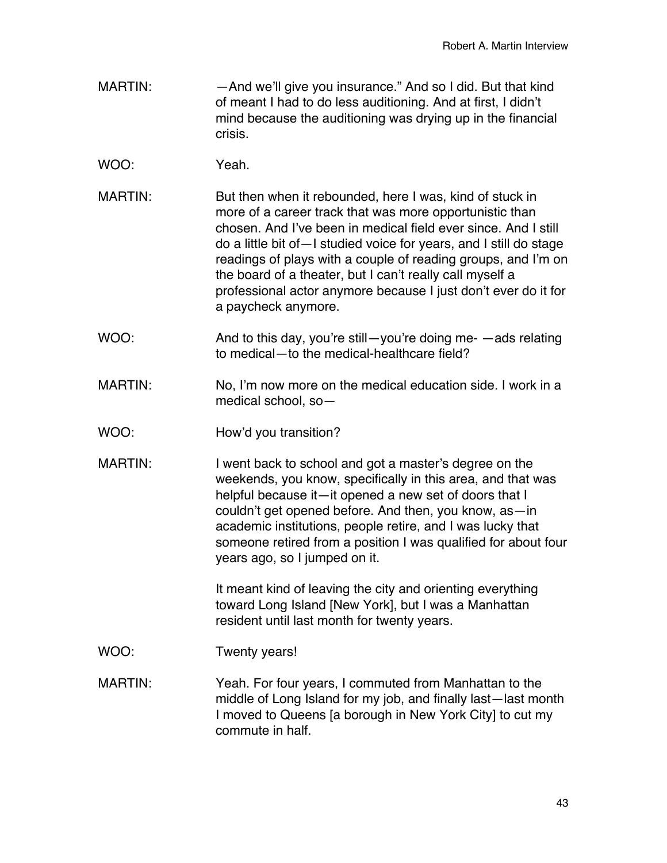- MARTIN: — And we'll give you insurance." And so I did. But that kind of meant I had to do less auditioning. And at first, I didn't mind because the auditioning was drying up in the financial crisis.
- WOO: Yeah.
- MARTIN: But then when it rebounded, here I was, kind of stuck in more of a career track that was more opportunistic than chosen. And I've been in medical field ever since. And I still do a little bit of—I studied voice for years, and I still do stage readings of plays with a couple of reading groups, and I'm on the board of a theater, but I can't really call myself a professional actor anymore because I just don't ever do it for a paycheck anymore.
- WOO: And to this day, you're still—you're doing me- —ads relating to medical—to the medical-healthcare field?
- MARTIN: No, I'm now more on the medical education side. I work in a medical school, so—
- WOO: How'd you transition?
- MARTIN: I went back to school and got a master's degree on the weekends, you know, specifically in this area, and that was helpful because it—it opened a new set of doors that I couldn't get opened before. And then, you know, as—in academic institutions, people retire, and I was lucky that someone retired from a position I was qualified for about four years ago, so I jumped on it.

It meant kind of leaving the city and orienting everything toward Long Island [New York], but I was a Manhattan resident until last month for twenty years.

WOO: Twenty years!

MARTIN: Yeah. For four years, I commuted from Manhattan to the middle of Long Island for my job, and finally last—last month I moved to Queens [a borough in New York City] to cut my commute in half.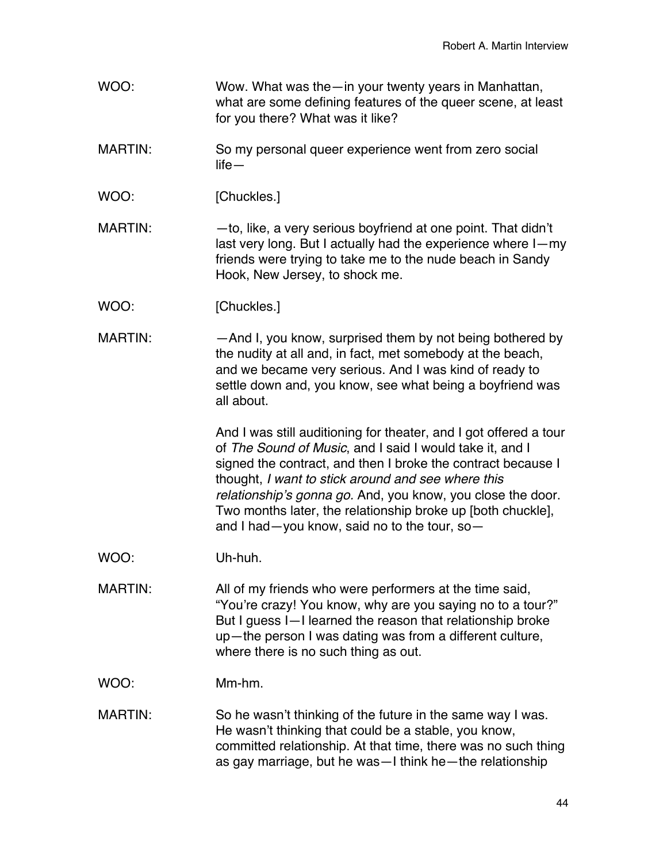- WOO: Wow. What was the—in your twenty years in Manhattan, what are some defining features of the queer scene, at least for you there? What was it like?
- MARTIN: So my personal queer experience went from zero social life—
- WOO: [Chuckles.]

MARTIN: — to, like, a very serious boyfriend at one point. That didn't last very long. But I actually had the experience where I—my friends were trying to take me to the nude beach in Sandy Hook, New Jersey, to shock me.

- WOO: [Chuckles.]
- MARTIN: ——And I, you know, surprised them by not being bothered by the nudity at all and, in fact, met somebody at the beach, and we became very serious. And I was kind of ready to settle down and, you know, see what being a boyfriend was all about.

And I was still auditioning for theater, and I got offered a tour of *The Sound of Music*, and I said I would take it, and I signed the contract, and then I broke the contract because I thought, *I want to stick around and see where this relationship's gonna go.* And, you know, you close the door. Two months later, the relationship broke up [both chuckle], and I had—you know, said no to the tour, so—

- WOO: Uh-huh.
- MARTIN: All of my friends who were performers at the time said, "You're crazy! You know, why are you saying no to a tour?" But I guess I—I learned the reason that relationship broke up—the person I was dating was from a different culture, where there is no such thing as out.

WOO: Mm-hm.

MARTIN: So he wasn't thinking of the future in the same way I was. He wasn't thinking that could be a stable, you know, committed relationship. At that time, there was no such thing as gay marriage, but he was—I think he—the relationship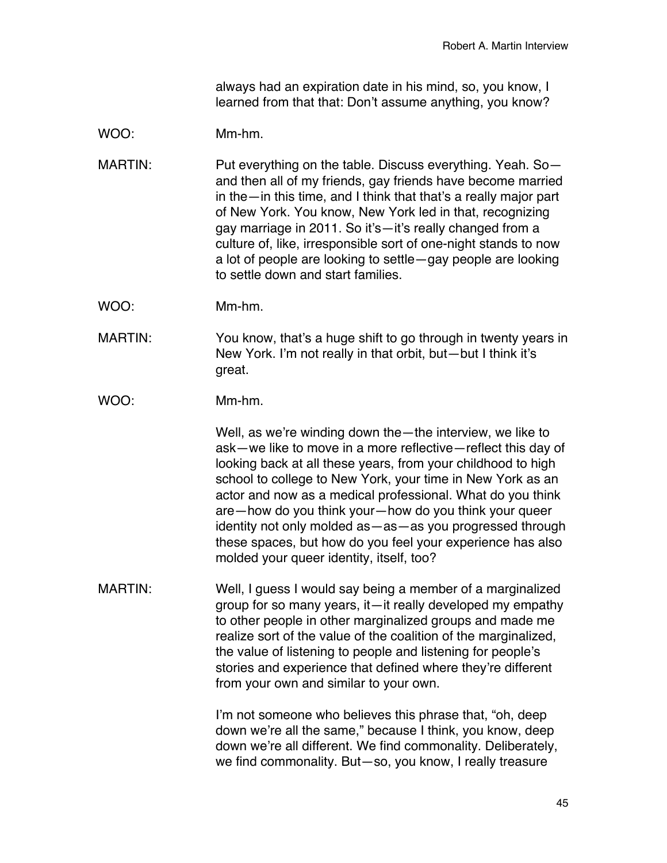always had an expiration date in his mind, so, you know, I learned from that that: Don't assume anything, you know?

## WOO: Mm-hm.

- MARTIN: Put everything on the table. Discuss everything. Yeah. Soand then all of my friends, gay friends have become married in the—in this time, and I think that that's a really major part of New York. You know, New York led in that, recognizing gay marriage in 2011. So it's—it's really changed from a culture of, like, irresponsible sort of one-night stands to now a lot of people are looking to settle—gay people are looking to settle down and start families.
- WOO: Mm-hm
- MARTIN: You know, that's a huge shift to go through in twenty years in New York. I'm not really in that orbit, but—but I think it's great.
- WOO: Mm-hm.

Well, as we're winding down the—the interview, we like to ask—we like to move in a more reflective—reflect this day of looking back at all these years, from your childhood to high school to college to New York, your time in New York as an actor and now as a medical professional. What do you think are—how do you think your—how do you think your queer identity not only molded as—as—as you progressed through these spaces, but how do you feel your experience has also molded your queer identity, itself, too?

MARTIN: Well, I guess I would say being a member of a marginalized group for so many years, it—it really developed my empathy to other people in other marginalized groups and made me realize sort of the value of the coalition of the marginalized, the value of listening to people and listening for people's stories and experience that defined where they're different from your own and similar to your own.

> I'm not someone who believes this phrase that, "oh, deep down we're all the same," because I think, you know, deep down we're all different. We find commonality. Deliberately, we find commonality. But—so, you know, I really treasure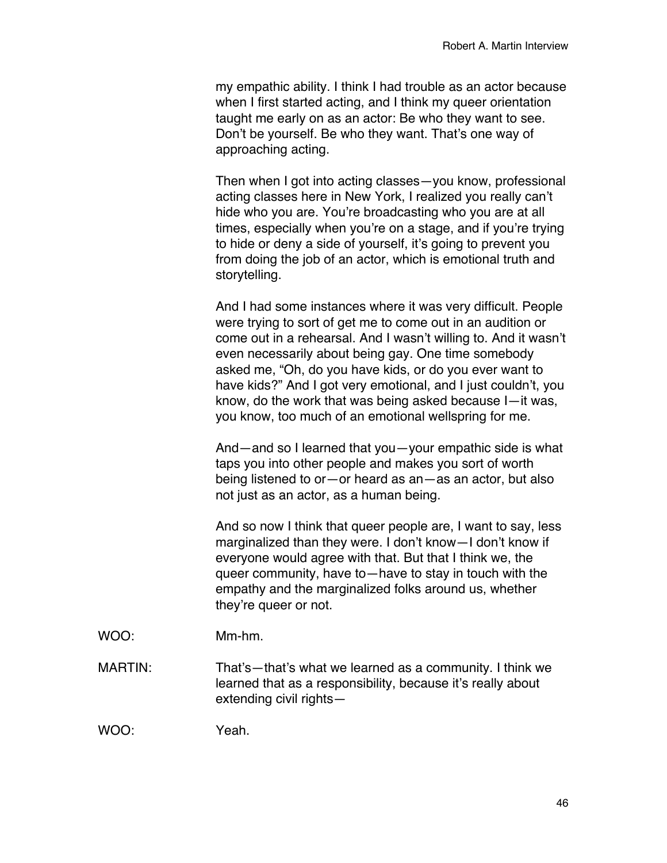my empathic ability. I think I had trouble as an actor because when I first started acting, and I think my queer orientation taught me early on as an actor: Be who they want to see. Don't be yourself. Be who they want. That's one way of approaching acting.

Then when I got into acting classes—you know, professional acting classes here in New York, I realized you really can't hide who you are. You're broadcasting who you are at all times, especially when you're on a stage, and if you're trying to hide or deny a side of yourself, it's going to prevent you from doing the job of an actor, which is emotional truth and storytelling.

And I had some instances where it was very difficult. People were trying to sort of get me to come out in an audition or come out in a rehearsal. And I wasn't willing to. And it wasn't even necessarily about being gay. One time somebody asked me, "Oh, do you have kids, or do you ever want to have kids?" And I got very emotional, and I just couldn't, you know, do the work that was being asked because I—it was, you know, too much of an emotional wellspring for me.

And—and so I learned that you—your empathic side is what taps you into other people and makes you sort of worth being listened to or—or heard as an—as an actor, but also not just as an actor, as a human being.

And so now I think that queer people are, I want to say, less marginalized than they were. I don't know—I don't know if everyone would agree with that. But that I think we, the queer community, have to—have to stay in touch with the empathy and the marginalized folks around us, whether they're queer or not.

WOO: Mm-hm.

MARTIN: That's—that's what we learned as a community. I think we learned that as a responsibility, because it's really about extending civil rights—

WOO: Yeah.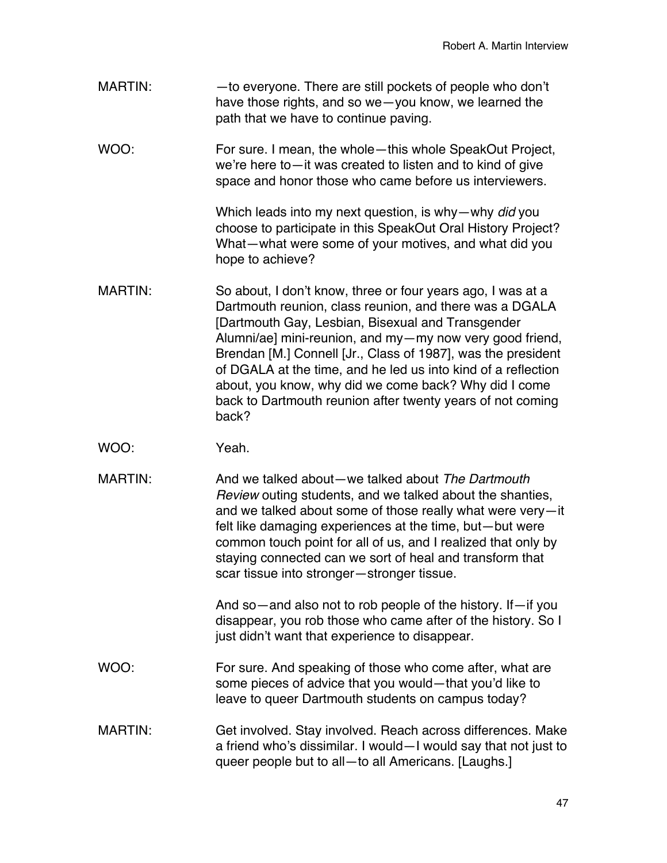- MARTIN: —to everyone. There are still pockets of people who don't have those rights, and so we—you know, we learned the path that we have to continue paving.
- WOO: For sure. I mean, the whole—this whole SpeakOut Project, we're here to—it was created to listen and to kind of give space and honor those who came before us interviewers.

Which leads into my next question, is why—why *did* you choose to participate in this SpeakOut Oral History Project? What—what were some of your motives, and what did you hope to achieve?

- MARTIN: So about, I don't know, three or four years ago, I was at a Dartmouth reunion, class reunion, and there was a DGALA [Dartmouth Gay, Lesbian, Bisexual and Transgender Alumni/ae] mini-reunion, and my—my now very good friend, Brendan [M.] Connell [Jr., Class of 1987], was the president of DGALA at the time, and he led us into kind of a reflection about, you know, why did we come back? Why did I come back to Dartmouth reunion after twenty years of not coming back?
- WOO: Yeah.
- MARTIN: And we talked about—we talked about *The Dartmouth Review* outing students, and we talked about the shanties, and we talked about some of those really what were very—it felt like damaging experiences at the time, but—but were common touch point for all of us, and I realized that only by staying connected can we sort of heal and transform that scar tissue into stronger—stronger tissue.

And so—and also not to rob people of the history. If—if you disappear, you rob those who came after of the history. So I just didn't want that experience to disappear.

- WOO: For sure. And speaking of those who come after, what are some pieces of advice that you would—that you'd like to leave to queer Dartmouth students on campus today?
- MARTIN: Get involved. Stay involved. Reach across differences. Make a friend who's dissimilar. I would—I would say that not just to queer people but to all—to all Americans. [Laughs.]